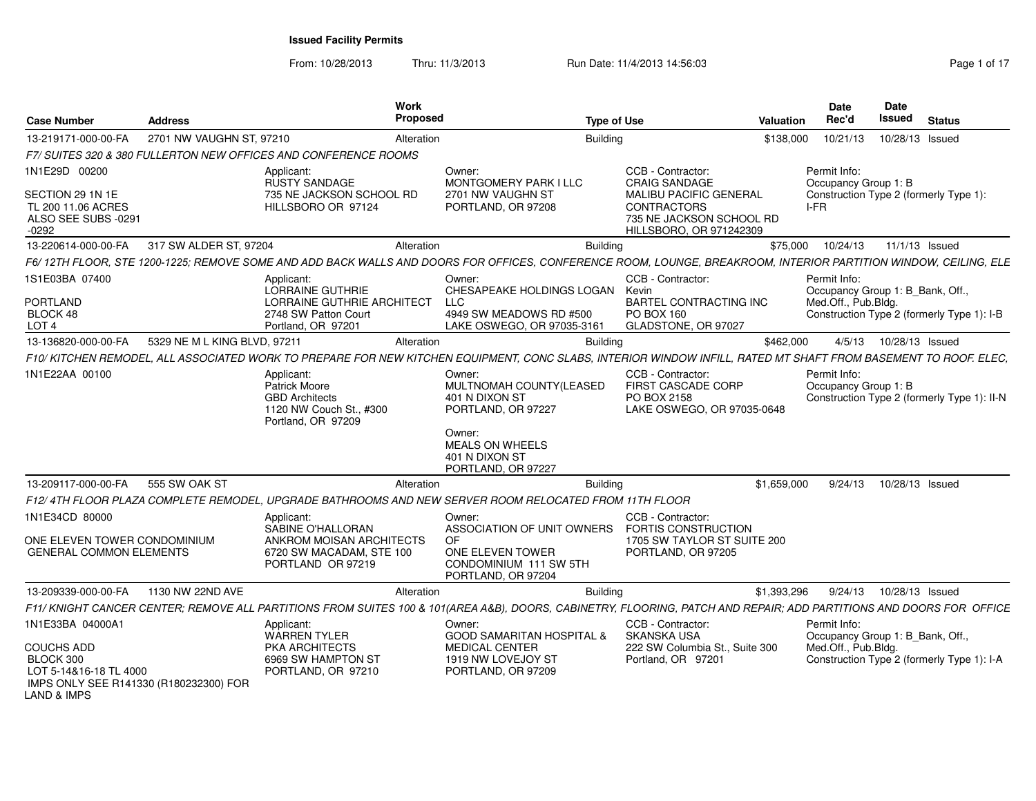From: 10/28/2013Thru: 11/3/2013 **Run Date: 11/4/2013 14:56:03** Rege 1 of 17

| <b>Case Number</b>                                                                                                           | <b>Address</b>               | <b>Work</b><br>Proposed                                                                                                                                            |                                                                                                           | <b>Type of Use</b>                                                                         | Valuation   | <b>Date</b><br>Rec'd                | <b>Date</b><br>Issued            | <b>Status</b>                               |
|------------------------------------------------------------------------------------------------------------------------------|------------------------------|--------------------------------------------------------------------------------------------------------------------------------------------------------------------|-----------------------------------------------------------------------------------------------------------|--------------------------------------------------------------------------------------------|-------------|-------------------------------------|----------------------------------|---------------------------------------------|
| 13-219171-000-00-FA                                                                                                          | 2701 NW VAUGHN ST, 97210     | Alteration                                                                                                                                                         | <b>Building</b>                                                                                           |                                                                                            | \$138,000   | 10/21/13                            | 10/28/13 Issued                  |                                             |
|                                                                                                                              |                              | F7/ SUITES 320 & 380 FULLERTON NEW OFFICES AND CONFERENCE ROOMS                                                                                                    |                                                                                                           |                                                                                            |             |                                     |                                  |                                             |
| 1N1E29D 00200<br>SECTION 29 1N 1E                                                                                            |                              | Applicant<br><b>RUSTY SANDAGE</b><br>735 NE JACKSON SCHOOL RD                                                                                                      | Owner:<br>MONTGOMERY PARK I LLC<br>2701 NW VAUGHN ST                                                      | CCB - Contractor:<br><b>CRAIG SANDAGE</b><br>MALIBU PACIFIC GENERAL                        |             | Permit Info:                        | Occupancy Group 1: B             | Construction Type 2 (formerly Type 1):      |
| TL 200 11.06 ACRES<br>ALSO SEE SUBS -0291<br>$-0292$                                                                         |                              | HILLSBORO OR 97124                                                                                                                                                 | PORTLAND, OR 97208                                                                                        | <b>CONTRACTORS</b><br>735 NE JACKSON SCHOOL RD<br>HILLSBORO, OR 971242309                  |             | I-FR                                |                                  |                                             |
| 13-220614-000-00-FA                                                                                                          | 317 SW ALDER ST, 97204       | Alteration                                                                                                                                                         | <b>Building</b>                                                                                           |                                                                                            | \$75,000    | 10/24/13                            |                                  | 11/1/13 Issued                              |
|                                                                                                                              |                              | F6/12TH FLOOR, STE 1200-1225; REMOVE SOME AND ADD BACK WALLS AND DOORS FOR OFFICES, CONFERENCE ROOM, LOUNGE, BREAKROOM, INTERIOR PARTITION WINDOW, CEILING, ELE    |                                                                                                           |                                                                                            |             |                                     |                                  |                                             |
| 1S1E03BA 07400<br>PORTLAND<br>BLOCK 48<br>LOT <sub>4</sub>                                                                   |                              | Applicant:<br><b>LORRAINE GUTHRIE</b><br>LORRAINE GUTHRIE ARCHITECT<br>2748 SW Patton Court<br>Portland, OR 97201                                                  | Owner:<br>CHESAPEAKE HOLDINGS LOGAN Kevin<br>LLC<br>4949 SW MEADOWS RD #500<br>LAKE OSWEGO, OR 97035-3161 | CCB - Contractor<br><b>BARTEL CONTRACTING INC</b><br>PO BOX 160<br>GLADSTONE, OR 97027     |             | Permit Info:<br>Med.Off., Pub.Bldg. | Occupancy Group 1: B Bank, Off., | Construction Type 2 (formerly Type 1): I-B  |
| 13-136820-000-00-FA                                                                                                          | 5329 NE M L KING BLVD, 97211 | Alteration                                                                                                                                                         | <b>Building</b>                                                                                           |                                                                                            | \$462,000   |                                     | 4/5/13  10/28/13  Issued         |                                             |
|                                                                                                                              |                              | F10/KITCHEN REMODEL, ALL ASSOCIATED WORK TO PREPARE FOR NEW KITCHEN EQUIPMENT, CONC SLABS, INTERIOR WINDOW INFILL, RATED MT SHAFT FROM BASEMENT TO ROOF. ELEC,     |                                                                                                           |                                                                                            |             |                                     |                                  |                                             |
| 1N1E22AA 00100                                                                                                               |                              | Applicant:<br><b>Patrick Moore</b><br><b>GBD Architects</b><br>1120 NW Couch St., #300<br>Portland, OR 97209                                                       | Owner:<br>MULTNOMAH COUNTY(LEASED<br>401 N DIXON ST<br>PORTLAND, OR 97227                                 | CCB - Contractor<br><b>FIRST CASCADE CORP</b><br>PO BOX 2158<br>LAKE OSWEGO, OR 97035-0648 |             | Permit Info:                        | Occupancy Group 1: B             | Construction Type 2 (formerly Type 1): II-N |
|                                                                                                                              |                              |                                                                                                                                                                    | Owner:<br>MEALS ON WHEELS<br>401 N DIXON ST<br>PORTLAND, OR 97227                                         |                                                                                            |             |                                     |                                  |                                             |
| 13-209117-000-00-FA                                                                                                          | 555 SW OAK ST                | Alteration                                                                                                                                                         | Building                                                                                                  |                                                                                            | \$1.659.000 | 9/24/13                             | 10/28/13 Issued                  |                                             |
|                                                                                                                              |                              | F12/4TH FLOOR PLAZA COMPLETE REMODEL, UPGRADE BATHROOMS AND NEW SERVER ROOM RELOCATED FROM 11TH FLOOR                                                              |                                                                                                           |                                                                                            |             |                                     |                                  |                                             |
| 1N1E34CD 80000                                                                                                               |                              | Applicant:<br>SABINE O'HALLORAN                                                                                                                                    | Owner:<br>ASSOCIATION OF UNIT OWNERS                                                                      | CCB - Contractor<br>FORTIS CONSTRUCTION                                                    |             |                                     |                                  |                                             |
| ONE ELEVEN TOWER CONDOMINIUM<br><b>GENERAL COMMON ELEMENTS</b>                                                               |                              | ANKROM MOISAN ARCHITECTS<br>6720 SW MACADAM, STE 100<br>PORTLAND OR 97219                                                                                          | OF.<br>ONE ELEVEN TOWER<br>CONDOMINIUM 111 SW 5TH<br>PORTLAND, OR 97204                                   | 1705 SW TAYLOR ST SUITE 200<br>PORTLAND, OR 97205                                          |             |                                     |                                  |                                             |
| 13-209339-000-00-FA                                                                                                          | 1130 NW 22ND AVE             | Alteration                                                                                                                                                         | <b>Building</b>                                                                                           |                                                                                            | \$1,393,296 |                                     | 9/24/13  10/28/13  Issued        |                                             |
|                                                                                                                              |                              | F11/KNIGHT CANCER CENTER; REMOVE ALL PARTITIONS FROM SUITES 100 & 101(AREA A&B), DOORS, CABINETRY, FLOORING, PATCH AND REPAIR; ADD PARTITIONS AND DOORS FOR OFFICE |                                                                                                           |                                                                                            |             |                                     |                                  |                                             |
| 1N1E33BA 04000A1                                                                                                             |                              | Applicant:<br><b>WARREN TYLER</b>                                                                                                                                  | Owner:<br><b>GOOD SAMARITAN HOSPITAL &amp;</b>                                                            | CCB - Contractor<br><b>SKANSKA USA</b>                                                     |             | Permit Info:                        | Occupancy Group 1: B Bank, Off., |                                             |
| <b>COUCHS ADD</b><br>BLOCK 300<br>LOT 5-14&16-18 TL 4000<br>IMPS ONLY SEE R141330 (R180232300) FOR<br><b>LAND &amp; IMPS</b> |                              | PKA ARCHITECTS<br>6969 SW HAMPTON ST<br>PORTLAND, OR 97210                                                                                                         | <b>MEDICAL CENTER</b><br>1919 NW LOVEJOY ST<br>PORTLAND, OR 97209                                         | 222 SW Columbia St., Suite 300<br>Portland, OR 97201                                       |             | Med.Off., Pub.Bldg.                 |                                  | Construction Type 2 (formerly Type 1): I-A  |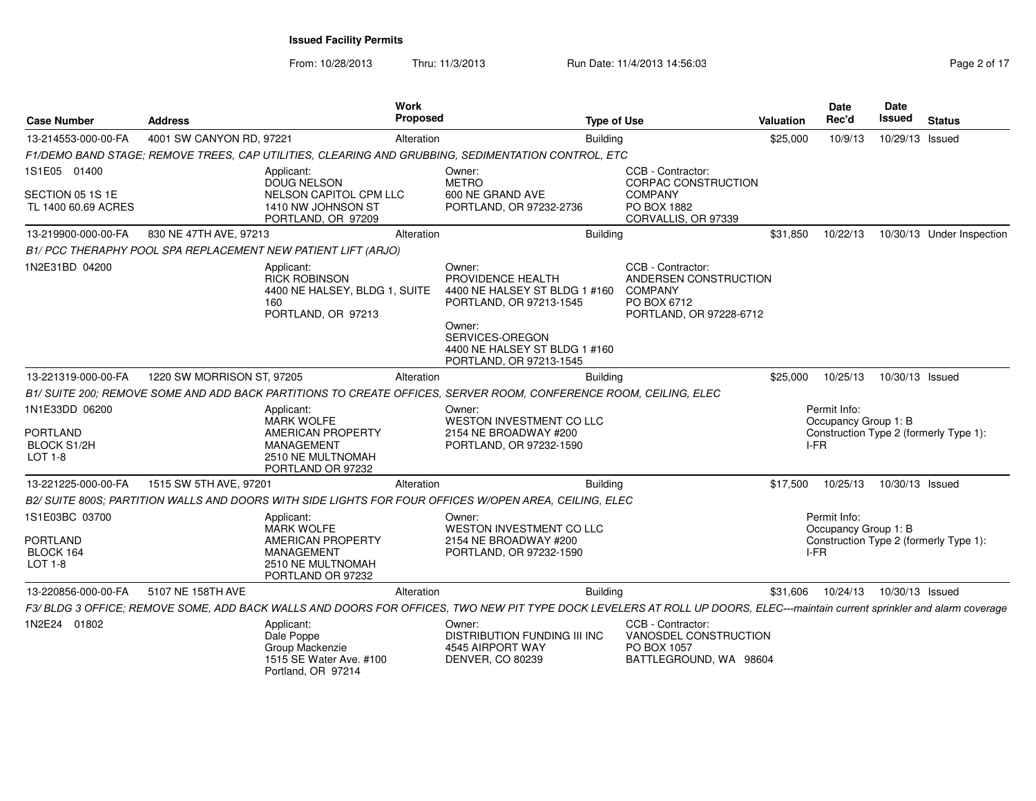From: 10/28/2013Thru: 11/3/2013 Run Date: 11/4/2013 14:56:03

| Page 2 of 17 |  |  |
|--------------|--|--|
|--------------|--|--|

| <b>Case Number</b>                             | <b>Address</b>             |                                                                                                  | <b>Work</b><br>Proposed |                                                                                                                                                                            | <b>Type of Use</b> |                                                                                                        | Valuation | Date<br>Rec'd                        | <b>Date</b><br>Issued | <b>Status</b>                          |
|------------------------------------------------|----------------------------|--------------------------------------------------------------------------------------------------|-------------------------|----------------------------------------------------------------------------------------------------------------------------------------------------------------------------|--------------------|--------------------------------------------------------------------------------------------------------|-----------|--------------------------------------|-----------------------|----------------------------------------|
| 13-214553-000-00-FA                            | 4001 SW CANYON RD, 97221   |                                                                                                  | Alteration              |                                                                                                                                                                            | <b>Building</b>    |                                                                                                        | \$25,000  | 10/9/13                              | 10/29/13 Issued       |                                        |
|                                                |                            |                                                                                                  |                         | F1/DEMO BAND STAGE; REMOVE TREES, CAP UTILITIES, CLEARING AND GRUBBING, SEDIMENTATION CONTROL, ETC                                                                         |                    |                                                                                                        |           |                                      |                       |                                        |
| 1S1E05 01400                                   |                            | Applicant:<br><b>DOUG NELSON</b>                                                                 |                         | Owner:<br><b>METRO</b>                                                                                                                                                     |                    | CCB - Contractor:<br>CORPAC CONSTRUCTION                                                               |           |                                      |                       |                                        |
| SECTION 05 1S 1E<br>TL 1400 60.69 ACRES        |                            | NELSON CAPITOL CPM LLC<br>1410 NW JOHNSON ST<br>PORTLAND, OR 97209                               |                         | 600 NE GRAND AVE<br>PORTLAND, OR 97232-2736                                                                                                                                |                    | <b>COMPANY</b><br>PO BOX 1882<br>CORVALLIS, OR 97339                                                   |           |                                      |                       |                                        |
| 13-219900-000-00-FA                            | 830 NE 47TH AVE, 97213     |                                                                                                  | Alteration              |                                                                                                                                                                            | Building           |                                                                                                        | \$31,850  | 10/22/13                             |                       | 10/30/13 Under Inspection              |
|                                                |                            | B1/ PCC THERAPHY POOL SPA REPLACEMENT NEW PATIENT LIFT (ARJO)                                    |                         |                                                                                                                                                                            |                    |                                                                                                        |           |                                      |                       |                                        |
| 1N2E31BD 04200                                 |                            | Applicant:<br><b>RICK ROBINSON</b><br>4400 NE HALSEY, BLDG 1, SUITE<br>160<br>PORTLAND, OR 97213 |                         | Owner:<br>PROVIDENCE HEALTH<br>4400 NE HALSEY ST BLDG 1 #160<br>PORTLAND, OR 97213-1545                                                                                    |                    | CCB - Contractor:<br>ANDERSEN CONSTRUCTION<br><b>COMPANY</b><br>PO BOX 6712<br>PORTLAND, OR 97228-6712 |           |                                      |                       |                                        |
|                                                |                            |                                                                                                  |                         | Owner:<br>SERVICES-OREGON<br>4400 NE HALSEY ST BLDG 1 #160<br>PORTLAND, OR 97213-1545                                                                                      |                    |                                                                                                        |           |                                      |                       |                                        |
| 13-221319-000-00-FA                            | 1220 SW MORRISON ST, 97205 |                                                                                                  | Alteration              |                                                                                                                                                                            | <b>Building</b>    |                                                                                                        | \$25,000  | 10/25/13                             | 10/30/13 Issued       |                                        |
|                                                |                            |                                                                                                  |                         | B1/ SUITE 200; REMOVE SOME AND ADD BACK PARTITIONS TO CREATE OFFICES, SERVER ROOM, CONFERENCE ROOM, CEILING, ELEC                                                          |                    |                                                                                                        |           |                                      |                       |                                        |
| 1N1E33DD 06200<br><b>PORTLAND</b>              |                            | Applicant:<br><b>MARK WOLFE</b><br><b>AMERICAN PROPERTY</b>                                      |                         | Owner:<br><b>WESTON INVESTMENT CO LLC</b><br>2154 NE BROADWAY #200                                                                                                         |                    |                                                                                                        |           | Permit Info:<br>Occupancy Group 1: B |                       | Construction Type 2 (formerly Type 1): |
| <b>BLOCK S1/2H</b><br><b>LOT 1-8</b>           |                            | <b>MANAGEMENT</b><br>2510 NE MULTNOMAH<br>PORTLAND OR 97232                                      |                         | PORTLAND, OR 97232-1590                                                                                                                                                    |                    |                                                                                                        |           | I-FR                                 |                       |                                        |
| 13-221225-000-00-FA                            | 1515 SW 5TH AVE, 97201     |                                                                                                  | Alteration              |                                                                                                                                                                            | <b>Building</b>    |                                                                                                        | \$17,500  | 10/25/13                             | 10/30/13 Issued       |                                        |
|                                                |                            |                                                                                                  |                         | B2/ SUITE 800S; PARTITION WALLS AND DOORS WITH SIDE LIGHTS FOR FOUR OFFICES W/OPEN AREA, CEILING, ELEC                                                                     |                    |                                                                                                        |           |                                      |                       |                                        |
| 1S1E03BC 03700                                 |                            | Applicant:<br><b>MARK WOLFE</b>                                                                  |                         | Owner:<br><b>WESTON INVESTMENT CO LLC</b>                                                                                                                                  |                    |                                                                                                        |           | Permit Info:<br>Occupancy Group 1: B |                       |                                        |
| <b>PORTLAND</b><br>BLOCK 164<br><b>LOT 1-8</b> |                            | AMERICAN PROPERTY<br><b>MANAGEMENT</b><br>2510 NE MULTNOMAH<br>PORTLAND OR 97232                 |                         | 2154 NE BROADWAY #200<br>PORTLAND, OR 97232-1590                                                                                                                           |                    |                                                                                                        |           | I-FR                                 |                       | Construction Type 2 (formerly Type 1): |
| 13-220856-000-00-FA                            | 5107 NE 158TH AVE          |                                                                                                  | Alteration              |                                                                                                                                                                            | Building           |                                                                                                        | \$31,606  | 10/24/13                             | 10/30/13 Issued       |                                        |
|                                                |                            |                                                                                                  |                         | F3/BLDG 3 OFFICE; REMOVE SOME, ADD BACK WALLS AND DOORS FOR OFFICES, TWO NEW PIT TYPE DOCK LEVELERS AT ROLL UP DOORS, ELEC---maintain current sprinkler and alarm coverage |                    |                                                                                                        |           |                                      |                       |                                        |
| 1N2E24 01802                                   |                            | Applicant:<br>Dale Poppe<br>Group Mackenzie<br>1515 SE Water Ave. #100<br>Portland, OR 97214     |                         | Owner:<br>DISTRIBUTION FUNDING III INC<br>4545 AIRPORT WAY<br>DENVER, CO 80239                                                                                             |                    | CCB - Contractor:<br>VANOSDEL CONSTRUCTION<br>PO BOX 1057<br>BATTLEGROUND, WA 98604                    |           |                                      |                       |                                        |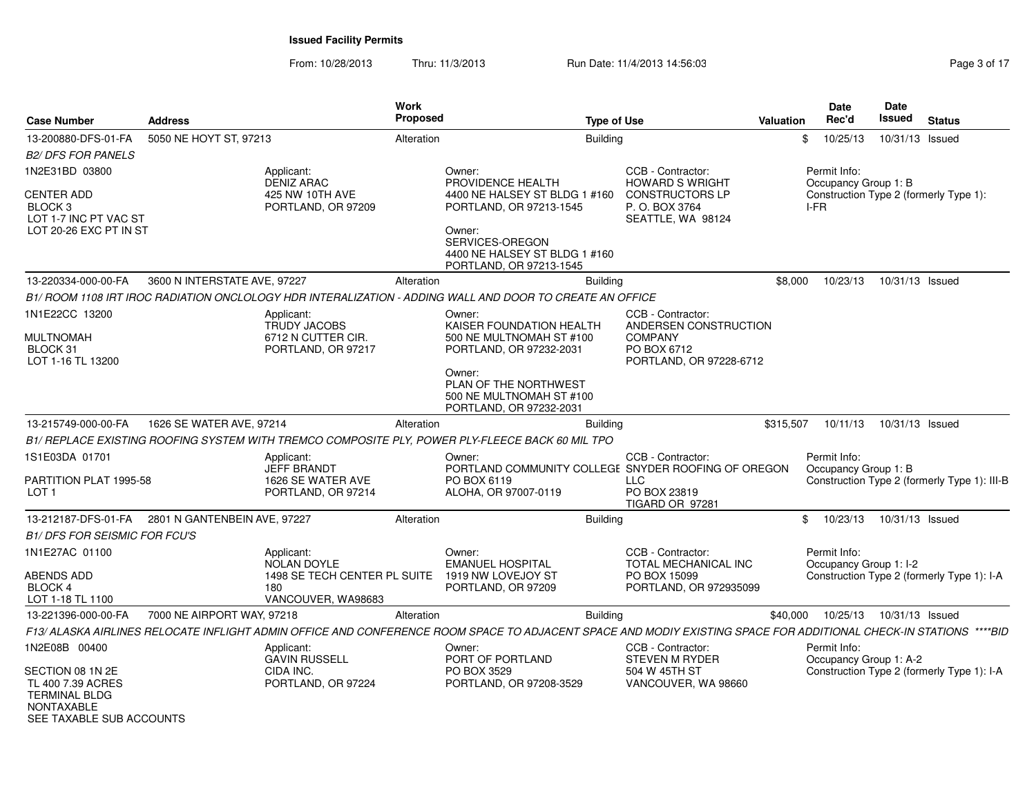From: 10/28/2013

Thru: 11/3/2013 **Run Date: 11/4/2013 14:56:03** Rege 3 of 17

|                                     |                              |                                          | <b>Work</b> |                                                                                                                                                                   |                                                  |                  | Date                                   | <b>Date</b>     |                                              |
|-------------------------------------|------------------------------|------------------------------------------|-------------|-------------------------------------------------------------------------------------------------------------------------------------------------------------------|--------------------------------------------------|------------------|----------------------------------------|-----------------|----------------------------------------------|
| <b>Case Number</b>                  | <b>Address</b>               |                                          | Proposed    | <b>Type of Use</b>                                                                                                                                                |                                                  | <b>Valuation</b> | Rec'd                                  | <b>Issued</b>   | <b>Status</b>                                |
| 13-200880-DFS-01-FA                 | 5050 NE HOYT ST, 97213       |                                          | Alteration  | <b>Building</b>                                                                                                                                                   |                                                  | \$               | 10/25/13                               | 10/31/13 Issued |                                              |
| <b>B2/ DFS FOR PANELS</b>           |                              |                                          |             |                                                                                                                                                                   |                                                  |                  |                                        |                 |                                              |
| 1N2E31BD 03800                      |                              | Applicant:                               |             | Owner:                                                                                                                                                            | CCB - Contractor:                                |                  | Permit Info:                           |                 |                                              |
| <b>CENTER ADD</b>                   |                              | <b>DENIZ ARAC</b><br>425 NW 10TH AVE     |             | PROVIDENCE HEALTH<br>4400 NE HALSEY ST BLDG 1 #160                                                                                                                | <b>HOWARD S WRIGHT</b><br><b>CONSTRUCTORS LP</b> |                  | Occupancy Group 1: B                   |                 | Construction Type 2 (formerly Type 1):       |
| BLOCK <sub>3</sub>                  |                              | PORTLAND, OR 97209                       |             | PORTLAND, OR 97213-1545                                                                                                                                           | P.O. BOX 3764                                    |                  | I-FR                                   |                 |                                              |
| LOT 1-7 INC PT VAC ST               |                              |                                          |             | Owner:                                                                                                                                                            | SEATTLE, WA 98124                                |                  |                                        |                 |                                              |
| LOT 20-26 EXC PT IN ST              |                              |                                          |             | SERVICES-OREGON<br>4400 NE HALSEY ST BLDG 1 #160<br>PORTLAND, OR 97213-1545                                                                                       |                                                  |                  |                                        |                 |                                              |
| 13-220334-000-00-FA                 | 3600 N INTERSTATE AVE, 97227 |                                          | Alteration  | Building                                                                                                                                                          |                                                  | \$8,000          | 10/23/13                               | 10/31/13 Issued |                                              |
|                                     |                              |                                          |             | B1/ ROOM 1108 IRT IROC RADIATION ONCLOLOGY HDR INTERALIZATION - ADDING WALL AND DOOR TO CREATE AN OFFICE                                                          |                                                  |                  |                                        |                 |                                              |
| 1N1E22CC 13200                      |                              | Applicant:                               |             | Owner:                                                                                                                                                            | CCB - Contractor:                                |                  |                                        |                 |                                              |
|                                     |                              | TRUDY JACOBS                             |             | KAISER FOUNDATION HEALTH                                                                                                                                          | ANDERSEN CONSTRUCTION                            |                  |                                        |                 |                                              |
| <b>MULTNOMAH</b><br>BLOCK 31        |                              | 6712 N CUTTER CIR.<br>PORTLAND, OR 97217 |             | 500 NE MULTNOMAH ST #100<br>PORTLAND, OR 97232-2031                                                                                                               | <b>COMPANY</b><br>PO BOX 6712                    |                  |                                        |                 |                                              |
| LOT 1-16 TL 13200                   |                              |                                          |             |                                                                                                                                                                   | PORTLAND, OR 97228-6712                          |                  |                                        |                 |                                              |
|                                     |                              |                                          |             | Owner:<br>PLAN OF THE NORTHWEST                                                                                                                                   |                                                  |                  |                                        |                 |                                              |
|                                     |                              |                                          |             | 500 NE MULTNOMAH ST #100                                                                                                                                          |                                                  |                  |                                        |                 |                                              |
|                                     |                              |                                          |             | PORTLAND, OR 97232-2031                                                                                                                                           |                                                  |                  |                                        |                 |                                              |
| 13-215749-000-00-FA                 | 1626 SE WATER AVE, 97214     |                                          | Alteration  | <b>Building</b>                                                                                                                                                   |                                                  | \$315,507        | 10/11/13                               | 10/31/13 Issued |                                              |
|                                     |                              |                                          |             | B1/ REPLACE EXISTING ROOFING SYSTEM WITH TREMCO COMPOSITE PLY, POWER PLY-FLEECE BACK 60 MIL TPO                                                                   |                                                  |                  |                                        |                 |                                              |
| 1S1E03DA 01701                      |                              | Applicant:                               |             | Owner:                                                                                                                                                            | CCB - Contractor:                                |                  | Permit Info:                           |                 |                                              |
| PARTITION PLAT 1995-58              |                              | JEFF BRANDT<br>1626 SE WATER AVE         |             | PORTLAND COMMUNITY COLLEGE SNYDER ROOFING OF OREGON<br>PO BOX 6119                                                                                                | <b>LLC</b>                                       |                  | Occupancy Group 1: B                   |                 | Construction Type 2 (formerly Type 1): III-B |
| LOT <sub>1</sub>                    |                              | PORTLAND, OR 97214                       |             | ALOHA, OR 97007-0119                                                                                                                                              | PO BOX 23819                                     |                  |                                        |                 |                                              |
|                                     |                              |                                          |             |                                                                                                                                                                   | TIGARD OR 97281                                  |                  |                                        |                 |                                              |
| 13-212187-DFS-01-FA                 | 2801 N GANTENBEIN AVE, 97227 |                                          | Alteration  | <b>Building</b>                                                                                                                                                   |                                                  | \$               | 10/23/13                               | 10/31/13 Issued |                                              |
| <b>B1/DFS FOR SEISMIC FOR FCU'S</b> |                              |                                          |             |                                                                                                                                                                   |                                                  |                  |                                        |                 |                                              |
| 1N1E27AC 01100                      |                              | Applicant:<br><b>NOLAN DOYLE</b>         |             | Owner:<br><b>EMANUEL HOSPITAL</b>                                                                                                                                 | CCB - Contractor:<br>TOTAL MECHANICAL INC        |                  | Permit Info:<br>Occupancy Group 1: I-2 |                 |                                              |
| <b>ABENDS ADD</b>                   |                              | 1498 SE TECH CENTER PL SUITE             |             | 1919 NW LOVEJOY ST                                                                                                                                                | PO BOX 15099                                     |                  |                                        |                 | Construction Type 2 (formerly Type 1): I-A   |
| <b>BLOCK 4</b>                      |                              | 180                                      |             | PORTLAND, OR 97209                                                                                                                                                | PORTLAND, OR 972935099                           |                  |                                        |                 |                                              |
| LOT 1-18 TL 1100                    |                              | VANCOUVER, WA98683                       |             |                                                                                                                                                                   |                                                  |                  |                                        |                 |                                              |
| 13-221396-000-00-FA                 | 7000 NE AIRPORT WAY, 97218   |                                          | Alteration  | <b>Building</b>                                                                                                                                                   |                                                  | \$40,000         | 10/25/13                               | 10/31/13 Issued |                                              |
|                                     |                              |                                          |             | F13/ ALASKA AIRLINES RELOCATE INFLIGHT ADMIN OFFICE AND CONFERENCE ROOM SPACE TO ADJACENT SPACE AND MODIY EXISTING SPACE FOR ADDITIONAL CHECK-IN STATIONS ****BID |                                                  |                  |                                        |                 |                                              |
| 1N2E08B 00400                       |                              | Applicant:<br><b>GAVIN RUSSELL</b>       |             | Owner:<br>PORT OF PORTLAND                                                                                                                                        | CCB - Contractor:<br><b>STEVEN M RYDER</b>       |                  | Permit Info:<br>Occupancy Group 1: A-2 |                 |                                              |
| SECTION 08 1N 2E                    |                              | CIDA INC.                                |             | PO BOX 3529                                                                                                                                                       | 504 W 45TH ST                                    |                  |                                        |                 | Construction Type 2 (formerly Type 1): I-A   |
| TL 400 7.39 ACRES                   |                              | PORTLAND, OR 97224                       |             | PORTLAND, OR 97208-3529                                                                                                                                           | VANCOUVER, WA 98660                              |                  |                                        |                 |                                              |
| <b>TERMINAL BLDG</b><br>NONTAXABLE  |                              |                                          |             |                                                                                                                                                                   |                                                  |                  |                                        |                 |                                              |
| SEE TAXABLE SUB ACCOUNTS            |                              |                                          |             |                                                                                                                                                                   |                                                  |                  |                                        |                 |                                              |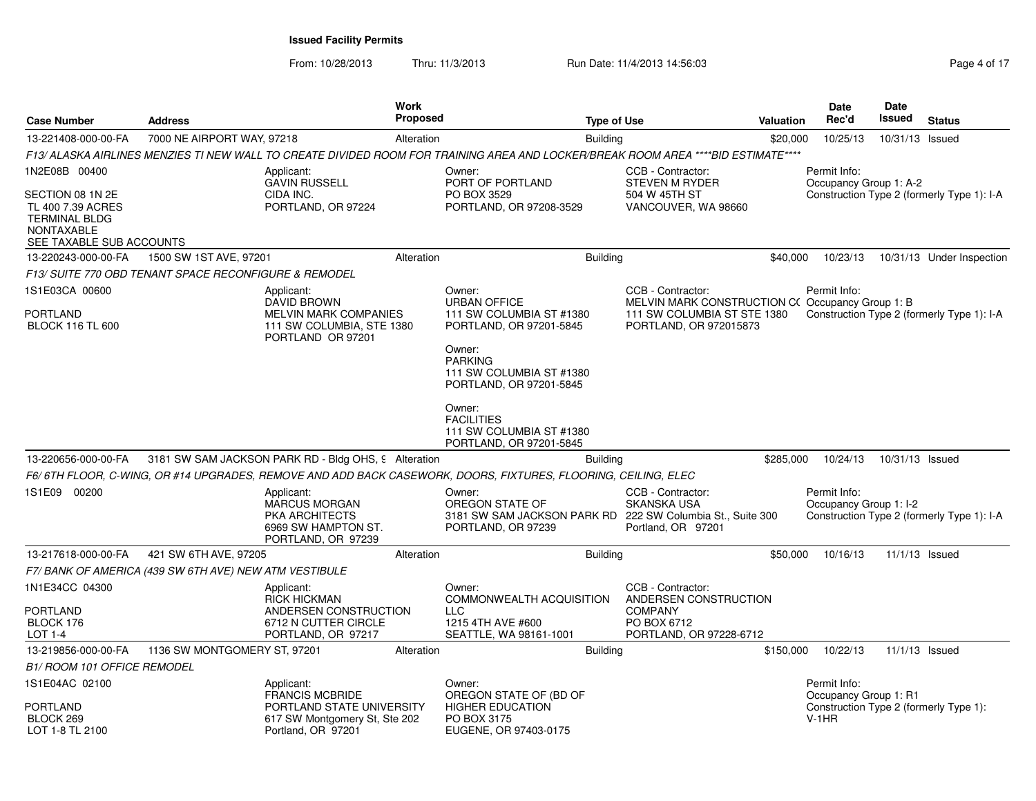From: 10/28/2013Thru: 11/3/2013 **Run Date: 11/4/2013 14:56:03** Rege 4 of 17

| <b>Case Number</b>                                                                                             | <b>Address</b>                                         |                                                                                                   | <b>Work</b><br><b>Proposed</b> |                                                                                                                                   | <b>Type of Use</b> |                                                                                                     | Valuation | <b>Date</b><br>Rec'd                   | Date<br><b>Issued</b> | <b>Status</b>                              |
|----------------------------------------------------------------------------------------------------------------|--------------------------------------------------------|---------------------------------------------------------------------------------------------------|--------------------------------|-----------------------------------------------------------------------------------------------------------------------------------|--------------------|-----------------------------------------------------------------------------------------------------|-----------|----------------------------------------|-----------------------|--------------------------------------------|
| 13-221408-000-00-FA                                                                                            | 7000 NE AIRPORT WAY, 97218                             |                                                                                                   | Alteration                     |                                                                                                                                   | <b>Building</b>    |                                                                                                     | \$20,000  | 10/25/13                               | 10/31/13 Issued       |                                            |
|                                                                                                                |                                                        |                                                                                                   |                                | F13/ ALASKA AIRLINES MENZIES TI NEW WALL TO CREATE DIVIDED ROOM FOR TRAINING AREA AND LOCKER/BREAK ROOM AREA ****BID ESTIMATE**** |                    |                                                                                                     |           |                                        |                       |                                            |
| 1N2E08B 00400                                                                                                  |                                                        | Applicant:<br><b>GAVIN RUSSELL</b>                                                                |                                | Owner:<br>PORT OF PORTLAND                                                                                                        |                    | CCB - Contractor:<br><b>STEVEN M RYDER</b>                                                          |           | Permit Info:<br>Occupancy Group 1: A-2 |                       |                                            |
| SECTION 08 1N 2E<br>TL 400 7.39 ACRES<br><b>TERMINAL BLDG</b><br><b>NONTAXABLE</b><br>SEE TAXABLE SUB ACCOUNTS |                                                        | CIDA INC.<br>PORTLAND, OR 97224                                                                   |                                | PO BOX 3529<br>PORTLAND, OR 97208-3529                                                                                            |                    | 504 W 45TH ST<br>VANCOUVER, WA 98660                                                                |           |                                        |                       | Construction Type 2 (formerly Type 1): I-A |
| 13-220243-000-00-FA                                                                                            | 1500 SW 1ST AVE, 97201                                 |                                                                                                   | Alteration                     |                                                                                                                                   | <b>Building</b>    |                                                                                                     | \$40,000  | 10/23/13                               |                       | 10/31/13 Under Inspection                  |
|                                                                                                                | F13/ SUITE 770 OBD TENANT SPACE RECONFIGURE & REMODEL  |                                                                                                   |                                |                                                                                                                                   |                    |                                                                                                     |           |                                        |                       |                                            |
| 1S1E03CA 00600<br>PORTLAND                                                                                     |                                                        | Applicant:<br><b>DAVID BROWN</b><br><b>MELVIN MARK COMPANIES</b>                                  |                                | Owner:<br><b>URBAN OFFICE</b><br>111 SW COLUMBIA ST #1380                                                                         |                    | CCB - Contractor:<br>MELVIN MARK CONSTRUCTION C(Occupancy Group 1: B<br>111 SW COLUMBIA ST STE 1380 |           | Permit Info:                           |                       | Construction Type 2 (formerly Type 1): I-A |
| <b>BLOCK 116 TL 600</b>                                                                                        |                                                        | 111 SW COLUMBIA, STE 1380<br>PORTLAND OR 97201                                                    |                                | PORTLAND, OR 97201-5845<br>Owner:<br><b>PARKING</b><br>111 SW COLUMBIA ST #1380<br>PORTLAND, OR 97201-5845                        |                    | PORTLAND, OR 972015873                                                                              |           |                                        |                       |                                            |
|                                                                                                                |                                                        |                                                                                                   |                                | Owner:<br><b>FACILITIES</b><br>111 SW COLUMBIA ST #1380<br>PORTLAND, OR 97201-5845                                                |                    |                                                                                                     |           |                                        |                       |                                            |
| 13-220656-000-00-FA                                                                                            |                                                        | 3181 SW SAM JACKSON PARK RD - Bldg OHS, 9 Alteration                                              |                                |                                                                                                                                   | <b>Building</b>    |                                                                                                     | \$285,000 | 10/24/13                               | 10/31/13 Issued       |                                            |
|                                                                                                                |                                                        |                                                                                                   |                                | F6/6TH FLOOR, C-WING, OR #14 UPGRADES, REMOVE AND ADD BACK CASEWORK, DOORS, FIXTURES, FLOORING, CEILING, ELEC                     |                    |                                                                                                     |           |                                        |                       |                                            |
| 1S1E09 00200                                                                                                   |                                                        | Applicant:<br><b>MARCUS MORGAN</b><br>PKA ARCHITECTS<br>6969 SW HAMPTON ST.<br>PORTLAND, OR 97239 |                                | Owner:<br>OREGON STATE OF<br>3181 SW SAM JACKSON PARK RD 222 SW Columbia St., Suite 300<br>PORTLAND, OR 97239                     |                    | CCB - Contractor:<br><b>SKANSKA USA</b><br>Portland, OR 97201                                       |           | Permit Info:<br>Occupancy Group 1: I-2 |                       | Construction Type 2 (formerly Type 1): I-A |
| 13-217618-000-00-FA                                                                                            | 421 SW 6TH AVE, 97205                                  |                                                                                                   | Alteration                     |                                                                                                                                   | <b>Building</b>    |                                                                                                     | \$50,000  | 10/16/13                               |                       | 11/1/13 Issued                             |
|                                                                                                                | F7/ BANK OF AMERICA (439 SW 6TH AVE) NEW ATM VESTIBULE |                                                                                                   |                                |                                                                                                                                   |                    |                                                                                                     |           |                                        |                       |                                            |
| 1N1E34CC 04300<br>PORTLAND                                                                                     |                                                        | Applicant:<br>RICK HICKMAN<br>ANDERSEN CONSTRUCTION                                               |                                | Owner:<br>COMMONWEALTH ACQUISITION<br>LLC.                                                                                        |                    | CCB - Contractor:<br>ANDERSEN CONSTRUCTION<br><b>COMPANY</b>                                        |           |                                        |                       |                                            |
| BLOCK 176<br>LOT 1-4                                                                                           |                                                        | 6712 N CUTTER CIRCLE<br>PORTLAND, OR 97217                                                        |                                | 1215 4TH AVE #600<br>SEATTLE, WA 98161-1001                                                                                       |                    | PO BOX 6712<br>PORTLAND, OR 97228-6712                                                              |           |                                        |                       |                                            |
| 13-219856-000-00-FA                                                                                            | 1136 SW MONTGOMERY ST, 97201                           |                                                                                                   | Alteration                     |                                                                                                                                   | <b>Building</b>    |                                                                                                     | \$150,000 | 10/22/13                               |                       | 11/1/13 Issued                             |
| <b>B1/ ROOM 101 OFFICE REMODEL</b>                                                                             |                                                        |                                                                                                   |                                |                                                                                                                                   |                    |                                                                                                     |           |                                        |                       |                                            |
| 1S1E04AC 02100                                                                                                 |                                                        | Applicant:<br><b>FRANCIS MCBRIDE</b>                                                              |                                | Owner:<br>OREGON STATE OF (BD OF                                                                                                  |                    |                                                                                                     |           | Permit Info:<br>Occupancy Group 1: R1  |                       |                                            |
| PORTLAND<br>BLOCK 269<br>LOT 1-8 TL 2100                                                                       |                                                        | PORTLAND STATE UNIVERSITY<br>617 SW Montgomery St, Ste 202<br>Portland, OR 97201                  |                                | <b>HIGHER EDUCATION</b><br>PO BOX 3175<br>EUGENE, OR 97403-0175                                                                   |                    |                                                                                                     |           | $V-1HR$                                |                       | Construction Type 2 (formerly Type 1):     |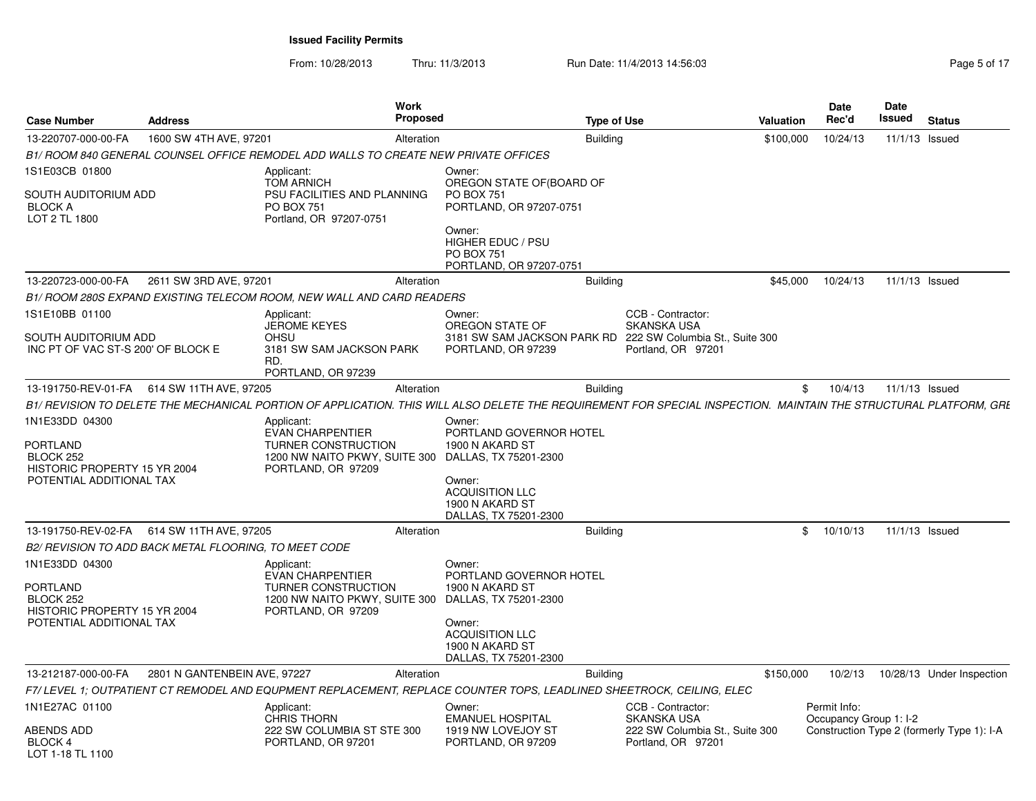From: 10/28/2013Thru: 11/3/2013 **Run Date: 11/4/2013 14:56:03** Rege 5 of 17

| <b>Case Number</b>                                                             | <b>Address</b>                                        | <b>Work</b><br>Proposed                                                                                                                                           |                                                                                    | <b>Type of Use</b> |                                                      | <b>Valuation</b> | Date<br>Rec'd                          | Date<br>Issued | <b>Status</b>                              |
|--------------------------------------------------------------------------------|-------------------------------------------------------|-------------------------------------------------------------------------------------------------------------------------------------------------------------------|------------------------------------------------------------------------------------|--------------------|------------------------------------------------------|------------------|----------------------------------------|----------------|--------------------------------------------|
| 13-220707-000-00-FA                                                            | 1600 SW 4TH AVE, 97201                                | Alteration                                                                                                                                                        |                                                                                    | <b>Building</b>    |                                                      | \$100,000        | 10/24/13                               | 11/1/13 Issued |                                            |
|                                                                                |                                                       | B1/ ROOM 840 GENERAL COUNSEL OFFICE REMODEL ADD WALLS TO CREATE NEW PRIVATE OFFICES                                                                               |                                                                                    |                    |                                                      |                  |                                        |                |                                            |
| 1S1E03CB 01800                                                                 |                                                       | Applicant:<br><b>TOM ARNICH</b>                                                                                                                                   | Owner:<br>OREGON STATE OF (BOARD OF                                                |                    |                                                      |                  |                                        |                |                                            |
| SOUTH AUDITORIUM ADD<br><b>BLOCK A</b><br>LOT 2 TL 1800                        |                                                       | PSU FACILITIES AND PLANNING<br><b>PO BOX 751</b><br>Portland, OR 97207-0751                                                                                       | <b>PO BOX 751</b><br>PORTLAND, OR 97207-0751                                       |                    |                                                      |                  |                                        |                |                                            |
|                                                                                |                                                       |                                                                                                                                                                   | Owner:<br><b>HIGHER EDUC / PSU</b><br><b>PO BOX 751</b><br>PORTLAND, OR 97207-0751 |                    |                                                      |                  |                                        |                |                                            |
| 13-220723-000-00-FA                                                            | 2611 SW 3RD AVE, 97201                                | Alteration                                                                                                                                                        |                                                                                    | <b>Building</b>    |                                                      | \$45,000         | 10/24/13                               | 11/1/13 Issued |                                            |
|                                                                                |                                                       | B1/ ROOM 280S EXPAND EXISTING TELECOM ROOM, NEW WALL AND CARD READERS                                                                                             |                                                                                    |                    |                                                      |                  |                                        |                |                                            |
| 1S1E10BB 01100                                                                 |                                                       | Applicant:<br><b>JEROME KEYES</b>                                                                                                                                 | Owner:<br>OREGON STATE OF                                                          |                    | CCB - Contractor:<br><b>SKANSKA USA</b>              |                  |                                        |                |                                            |
| SOUTH AUDITORIUM ADD<br>INC PT OF VAC ST-S 200' OF BLOCK E                     |                                                       | OHSU<br>3181 SW SAM JACKSON PARK<br>RD.<br>PORTLAND, OR 97239                                                                                                     | 3181 SW SAM JACKSON PARK RD 222 SW Columbia St., Suite 300<br>PORTLAND, OR 97239   |                    | Portland, OR 97201                                   |                  |                                        |                |                                            |
|                                                                                | 13-191750-REV-01-FA   614 SW 11TH AVE, 97205          | Alteration                                                                                                                                                        |                                                                                    | <b>Building</b>    |                                                      | \$               | 10/4/13                                | 11/1/13 Issued |                                            |
|                                                                                |                                                       | B1/ REVISION TO DELETE THE MECHANICAL PORTION OF APPLICATION. THIS WILL ALSO DELETE THE REQUIREMENT FOR SPECIAL INSPECTION. MAINTAIN THE STRUCTURAL PLATFORM, GRL |                                                                                    |                    |                                                      |                  |                                        |                |                                            |
|                                                                                |                                                       | Applicant:                                                                                                                                                        | Owner:                                                                             |                    |                                                      |                  |                                        |                |                                            |
| 1N1E33DD 04300<br><b>PORTLAND</b><br>BLOCK 252<br>HISTORIC PROPERTY 15 YR 2004 |                                                       | <b>EVAN CHARPENTIER</b><br>TURNER CONSTRUCTION<br>1200 NW NAITO PKWY, SUITE 300 DALLAS, TX 75201-2300<br>PORTLAND, OR 97209                                       | PORTLAND GOVERNOR HOTEL<br>1900 N AKARD ST                                         |                    |                                                      |                  |                                        |                |                                            |
| POTENTIAL ADDITIONAL TAX                                                       |                                                       |                                                                                                                                                                   | Owner:<br><b>ACQUISITION LLC</b><br>1900 N AKARD ST<br>DALLAS, TX 75201-2300       |                    |                                                      |                  |                                        |                |                                            |
| 13-191750-REV-02-FA                                                            | 614 SW 11TH AVE, 97205                                | Alteration                                                                                                                                                        |                                                                                    | <b>Building</b>    |                                                      | \$               | 10/10/13                               | 11/1/13 Issued |                                            |
|                                                                                | B2/ REVISION TO ADD BACK METAL FLOORING, TO MEET CODE |                                                                                                                                                                   |                                                                                    |                    |                                                      |                  |                                        |                |                                            |
| 1N1E33DD 04300<br><b>PORTLAND</b><br>BLOCK 252                                 |                                                       | Applicant:<br><b>EVAN CHARPENTIER</b><br>TURNER CONSTRUCTION<br>1200 NW NAITO PKWY, SUITE 300                                                                     | Owner:<br>PORTLAND GOVERNOR HOTEL<br>1900 N AKARD ST<br>DALLAS, TX 75201-2300      |                    |                                                      |                  |                                        |                |                                            |
| HISTORIC PROPERTY 15 YR 2004<br>POTENTIAL ADDITIONAL TAX                       |                                                       | PORTLAND, OR 97209                                                                                                                                                | Owner:<br><b>ACQUISITION LLC</b><br>1900 N AKARD ST<br>DALLAS, TX 75201-2300       |                    |                                                      |                  |                                        |                |                                            |
| 13-212187-000-00-FA                                                            | 2801 N GANTENBEIN AVE, 97227                          | Alteration                                                                                                                                                        |                                                                                    | <b>Building</b>    |                                                      | \$150,000        | 10/2/13                                |                | 10/28/13 Under Inspection                  |
|                                                                                |                                                       | F7/LEVEL 1; OUTPATIENT CT REMODEL AND EQUPMENT REPLACEMENT, REPLACE COUNTER TOPS, LEADLINED SHEETROCK, CEILING, ELEC                                              |                                                                                    |                    |                                                      |                  |                                        |                |                                            |
| 1N1E27AC 01100                                                                 |                                                       | Applicant:<br><b>CHRIS THORN</b>                                                                                                                                  | Owner:<br><b>EMANUEL HOSPITAL</b>                                                  |                    | CCB - Contractor:<br><b>SKANSKA USA</b>              |                  | Permit Info:<br>Occupancy Group 1: I-2 |                |                                            |
| ABENDS ADD<br>BLOCK 4<br>LOT 1-18 TL 1100                                      |                                                       | 222 SW COLUMBIA ST STE 300<br>PORTLAND, OR 97201                                                                                                                  | 1919 NW LOVEJOY ST<br>PORTLAND, OR 97209                                           |                    | 222 SW Columbia St., Suite 300<br>Portland, OR 97201 |                  |                                        |                | Construction Type 2 (formerly Type 1): I-A |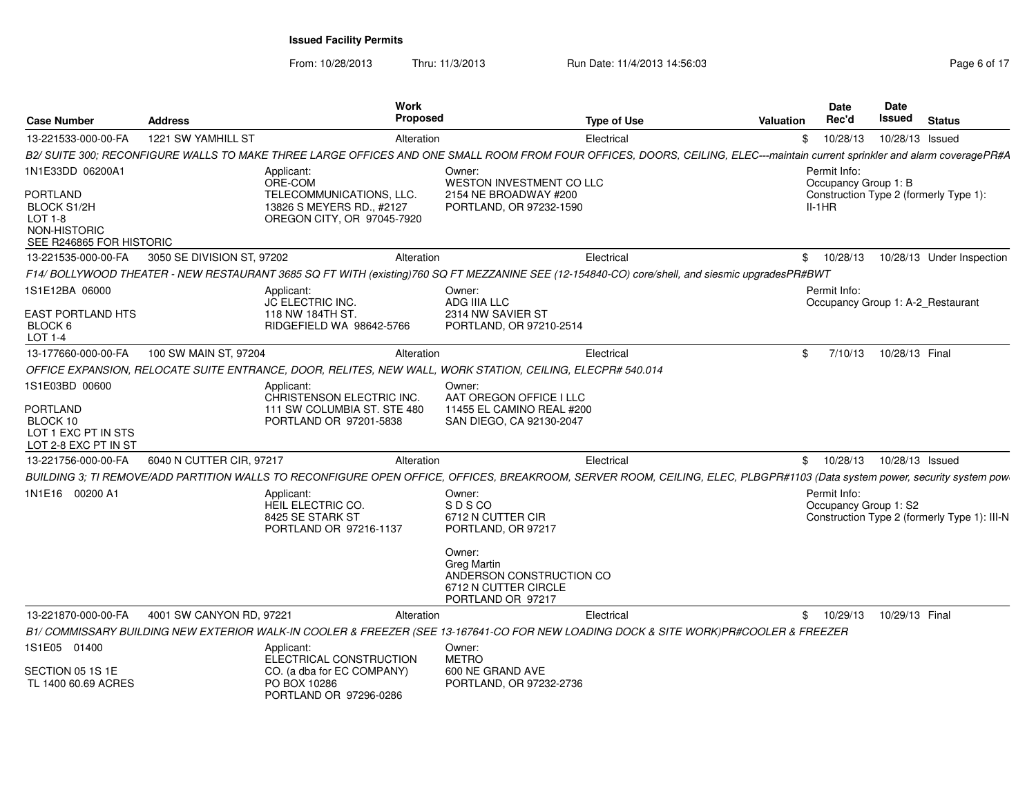From: 10/28/2013

Thru: 11/3/2013 **Run Date: 11/4/2013 14:56:03** Rege 6 of 17

| <b>Case Number</b>                                                             | <b>Address</b>             | <b>Work</b><br><b>Proposed</b>                                                                                                                                              |                                                                                                       | <b>Type of Use</b> | <b>Valuation</b> | Date<br>Rec'd                         | Date<br><b>Issued</b> | <b>Status</b>                                |
|--------------------------------------------------------------------------------|----------------------------|-----------------------------------------------------------------------------------------------------------------------------------------------------------------------------|-------------------------------------------------------------------------------------------------------|--------------------|------------------|---------------------------------------|-----------------------|----------------------------------------------|
| 13-221533-000-00-FA                                                            | 1221 SW YAMHILL ST         | Alteration                                                                                                                                                                  |                                                                                                       | Electrical         | \$               | 10/28/13                              | 10/28/13 Issued       |                                              |
|                                                                                |                            | B2/ SUITE 300; RECONFIGURE WALLS TO MAKE THREE LARGE OFFICES AND ONE SMALL ROOM FROM FOUR OFFICES, DOORS, CEILING, ELEC---maintain current sprinkler and alarm coveragePR#A |                                                                                                       |                    |                  |                                       |                       |                                              |
| 1N1E33DD 06200A1                                                               |                            | Applicant:<br>ORE-COM                                                                                                                                                       | Owner:<br>WESTON INVESTMENT CO LLC                                                                    |                    |                  | Permit Info:<br>Occupancy Group 1: B  |                       |                                              |
| PORTLAND<br>BLOCK S1/2H<br>LOT 1-8<br>NON-HISTORIC<br>SEE R246865 FOR HISTORIC |                            | TELECOMMUNICATIONS, LLC.<br>13826 S MEYERS RD., #2127<br>OREGON CITY, OR 97045-7920                                                                                         | 2154 NE BROADWAY #200<br>PORTLAND, OR 97232-1590                                                      |                    |                  | $II-1HR$                              |                       | Construction Type 2 (formerly Type 1):       |
| 13-221535-000-00-FA                                                            | 3050 SE DIVISION ST, 97202 | Alteration                                                                                                                                                                  |                                                                                                       | Electrical         | \$               | 10/28/13                              |                       | 10/28/13 Under Inspection                    |
|                                                                                |                            | F14/BOLLYWOOD THEATER - NEW RESTAURANT 3685 SQ FT WITH (existing)760 SQ FT MEZZANINE SEE (12-154840-CO) core/shell, and siesmic upgradesPR#BWT                              |                                                                                                       |                    |                  |                                       |                       |                                              |
| 1S1E12BA 06000                                                                 |                            | Applicant:<br>JC ELECTRIC INC.                                                                                                                                              | Owner:<br>ADG IIIA LLC                                                                                |                    |                  | Permit Info:                          |                       | Occupancy Group 1: A-2 Restaurant            |
| EAST PORTLAND HTS<br>BLOCK 6<br>LOT 1-4                                        |                            | 118 NW 184TH ST.<br>RIDGEFIELD WA 98642-5766                                                                                                                                | 2314 NW SAVIER ST<br>PORTLAND, OR 97210-2514                                                          |                    |                  |                                       |                       |                                              |
| 13-177660-000-00-FA                                                            | 100 SW MAIN ST, 97204      | Alteration                                                                                                                                                                  |                                                                                                       | Electrical         | \$               | 7/10/13                               | 10/28/13 Final        |                                              |
|                                                                                |                            | OFFICE EXPANSION, RELOCATE SUITE ENTRANCE, DOOR, RELITES, NEW WALL, WORK STATION, CEILING, ELECPR# 540.014                                                                  |                                                                                                       |                    |                  |                                       |                       |                                              |
| 1S1E03BD 00600                                                                 |                            | Applicant:<br>CHRISTENSON ELECTRIC INC.                                                                                                                                     | Owner:<br>AAT OREGON OFFICE I LLC                                                                     |                    |                  |                                       |                       |                                              |
| PORTLAND<br>BLOCK 10<br>LOT 1 EXC PT IN STS<br>LOT 2-8 EXC PT IN ST            |                            | 111 SW COLUMBIA ST. STE 480<br>PORTLAND OR 97201-5838                                                                                                                       | 11455 EL CAMINO REAL #200<br>SAN DIEGO, CA 92130-2047                                                 |                    |                  |                                       |                       |                                              |
| 13-221756-000-00-FA                                                            | 6040 N CUTTER CIR, 97217   | Alteration                                                                                                                                                                  |                                                                                                       | Electrical         | \$               | 10/28/13                              | 10/28/13 Issued       |                                              |
|                                                                                |                            | BUILDING 3; TI REMOVE/ADD PARTITION WALLS TO RECONFIGURE OPEN OFFICE, OFFICES, BREAKROOM, SERVER ROOM, CEILING, ELEC, PLBGPR#1103 (Data system power, security system pow   |                                                                                                       |                    |                  |                                       |                       |                                              |
| 1N1E16 00200 A1                                                                |                            | Applicant:<br>HEIL ELECTRIC CO.<br>8425 SE STARK ST<br>PORTLAND OR 97216-1137                                                                                               | Owner:<br><b>SDSCO</b><br>6712 N CUTTER CIR<br>PORTLAND, OR 97217                                     |                    |                  | Permit Info:<br>Occupancy Group 1: S2 |                       | Construction Type 2 (formerly Type 1): III-N |
|                                                                                |                            |                                                                                                                                                                             | Owner:<br><b>Greg Martin</b><br>ANDERSON CONSTRUCTION CO<br>6712 N CUTTER CIRCLE<br>PORTLAND OR 97217 |                    |                  |                                       |                       |                                              |
| 13-221870-000-00-FA                                                            | 4001 SW CANYON RD, 97221   | Alteration                                                                                                                                                                  |                                                                                                       | Electrical         | \$               | 10/29/13                              | 10/29/13 Final        |                                              |
|                                                                                |                            | B1/ COMMISSARY BUILDING NEW EXTERIOR WALK-IN COOLER & FREEZER (SEE 13-167641-CO FOR NEW LOADING DOCK & SITE WORK)PR#COOLER & FREEZER                                        |                                                                                                       |                    |                  |                                       |                       |                                              |
| 1S1E05 01400                                                                   |                            | Applicant:<br>ELECTRICAL CONSTRUCTION                                                                                                                                       | Owner:<br><b>METRO</b>                                                                                |                    |                  |                                       |                       |                                              |
| SECTION 05 1S 1E<br>TL 1400 60.69 ACRES                                        |                            | CO. (a dba for EC COMPANY)<br>PO BOX 10286<br>PORTLAND OR 97296-0286                                                                                                        | 600 NE GRAND AVE<br>PORTLAND, OR 97232-2736                                                           |                    |                  |                                       |                       |                                              |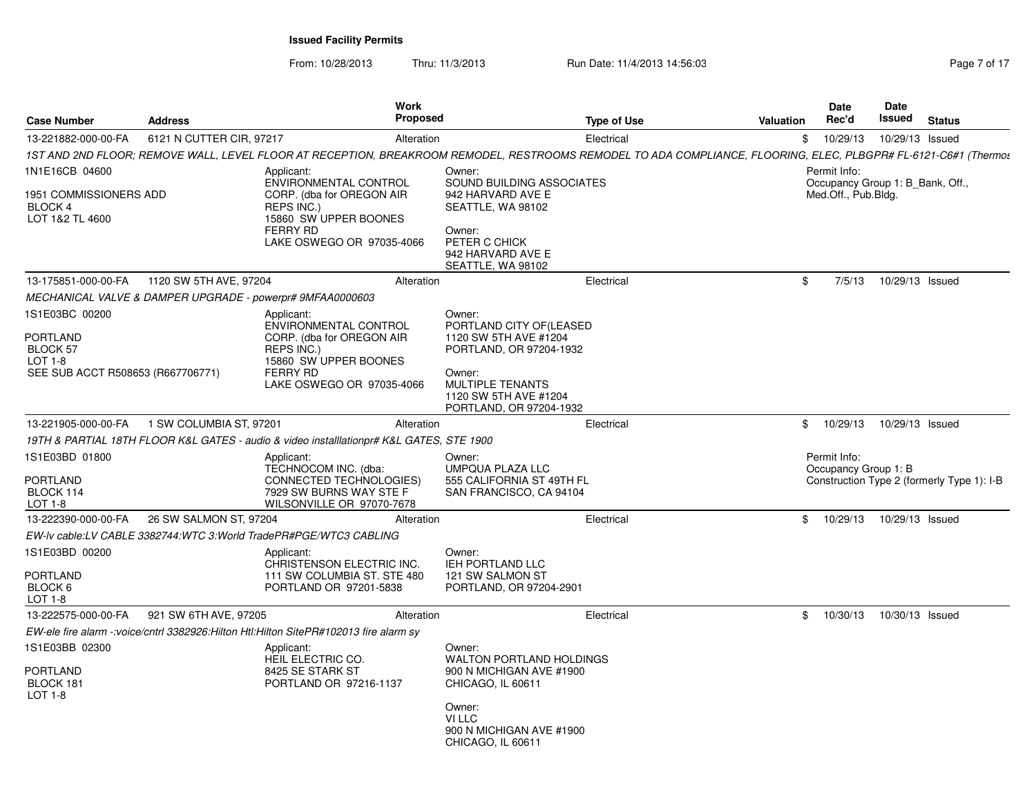From: 10/28/2013

Thru: 11/3/2013 **Run Date: 11/4/2013 14:56:03** Rege 7 of 17

| <b>Case Number</b>                                                                     | <b>Address</b>           | Work<br><b>Proposed</b>                                                                                                                                         |                                                                                                                                                                                | <b>Type of Use</b> | <b>Valuation</b> | <b>Date</b><br>Rec'd                                                    | Date<br>Issued  | <b>Status</b>                              |
|----------------------------------------------------------------------------------------|--------------------------|-----------------------------------------------------------------------------------------------------------------------------------------------------------------|--------------------------------------------------------------------------------------------------------------------------------------------------------------------------------|--------------------|------------------|-------------------------------------------------------------------------|-----------------|--------------------------------------------|
| 13-221882-000-00-FA                                                                    | 6121 N CUTTER CIR, 97217 | Alteration                                                                                                                                                      |                                                                                                                                                                                | Electrical         | \$               | 10/29/13                                                                | 10/29/13 Issued |                                            |
|                                                                                        |                          | 1ST AND 2ND FLOOR; REMOVE WALL, LEVEL FLOOR AT RECEPTION, BREAKROOM REMODEL, RESTROOMS REMODEL TO ADA COMPLIANCE, FLOORING, ELEC, PLBGPR# FL-6121-C6#1 (Thermot |                                                                                                                                                                                |                    |                  |                                                                         |                 |                                            |
| 1N1E16CB 04600<br>1951 COMMISSIONERS ADD<br>BLOCK 4<br>LOT 1&2 TL 4600                 |                          | Applicant:<br>ENVIRONMENTAL CONTROL<br>CORP. (dba for OREGON AIR<br>REPS INC.)<br>15860 SW UPPER BOONES<br><b>FERRY RD</b><br>LAKE OSWEGO OR 97035-4066         | Owner:<br>SOUND BUILDING ASSOCIATES<br>942 HARVARD AVE E<br>SEATTLE, WA 98102<br>Owner:<br>PETER C CHICK<br>942 HARVARD AVE E<br>SEATTLE, WA 98102                             |                    |                  | Permit Info:<br>Occupancy Group 1: B Bank, Off.,<br>Med.Off., Pub.Bldg. |                 |                                            |
| 13-175851-000-00-FA                                                                    | 1120 SW 5TH AVE, 97204   | Alteration                                                                                                                                                      |                                                                                                                                                                                | Electrical         | \$               | 7/5/13                                                                  | 10/29/13 Issued |                                            |
| MECHANICAL VALVE & DAMPER UPGRADE - powerpr# 9MFAA0000603                              |                          |                                                                                                                                                                 |                                                                                                                                                                                |                    |                  |                                                                         |                 |                                            |
| 1S1E03BC 00200<br>PORTLAND<br>BLOCK 57<br>LOT 1-8<br>SEE SUB ACCT R508653 (R667706771) |                          | Applicant:<br>ENVIRONMENTAL CONTROL<br>CORP. (dba for OREGON AIR<br>REPS INC.)<br>15860 SW UPPER BOONES<br><b>FERRY RD</b><br>LAKE OSWEGO OR 97035-4066         | Owner:<br>PORTLAND CITY OF(LEASED<br>1120 SW 5TH AVE #1204<br>PORTLAND, OR 97204-1932<br>Owner:<br><b>MULTIPLE TENANTS</b><br>1120 SW 5TH AVE #1204<br>PORTLAND, OR 97204-1932 |                    |                  |                                                                         |                 |                                            |
| 13-221905-000-00-FA                                                                    | 1 SW COLUMBIA ST, 97201  | Alteration                                                                                                                                                      |                                                                                                                                                                                | Electrical         | \$               | 10/29/13                                                                | 10/29/13 Issued |                                            |
|                                                                                        |                          | 19TH & PARTIAL 18TH FLOOR K&L GATES - audio & video installlationpr# K&L GATES, STE 1900                                                                        |                                                                                                                                                                                |                    |                  |                                                                         |                 |                                            |
| 1S1E03BD 01800<br><b>PORTLAND</b><br>BLOCK 114<br>LOT 1-8                              |                          | Applicant:<br>TECHNOCOM INC. (dba:<br>CONNECTED TECHNOLOGIES)<br>7929 SW BURNS WAY STE F<br>WILSONVILLE OR 97070-7678                                           | Owner:<br>UMPQUA PLAZA LLC<br>555 CALIFORNIA ST 49TH FL<br>SAN FRANCISCO, CA 94104                                                                                             |                    |                  | Permit Info:<br>Occupancy Group 1: B                                    |                 | Construction Type 2 (formerly Type 1): I-B |
| 13-222390-000-00-FA                                                                    | 26 SW SALMON ST, 97204   | Alteration                                                                                                                                                      |                                                                                                                                                                                | Electrical         | \$               | 10/29/13                                                                | 10/29/13 Issued |                                            |
|                                                                                        |                          | EW-lv cable:LV CABLE 3382744:WTC 3:World TradePR#PGE/WTC3 CABLING                                                                                               |                                                                                                                                                                                |                    |                  |                                                                         |                 |                                            |
| 1S1E03BD 00200<br>PORTLAND<br>BLOCK 6<br>LOT 1-8                                       |                          | Applicant:<br>CHRISTENSON ELECTRIC INC.<br>111 SW COLUMBIA ST. STE 480<br>PORTLAND OR 97201-5838                                                                | Owner:<br><b>IEH PORTLAND LLC</b><br>121 SW SALMON ST<br>PORTLAND, OR 97204-2901                                                                                               |                    |                  |                                                                         |                 |                                            |
| 13-222575-000-00-FA                                                                    | 921 SW 6TH AVE, 97205    | Alteration                                                                                                                                                      |                                                                                                                                                                                | Electrical         | \$               | 10/30/13                                                                | 10/30/13 Issued |                                            |
|                                                                                        |                          | EW-ele fire alarm -: voice/cntrl 3382926: Hilton Htl: Hilton SitePR#102013 fire alarm sy                                                                        |                                                                                                                                                                                |                    |                  |                                                                         |                 |                                            |
| 1S1E03BB 02300<br><b>PORTLAND</b><br>BLOCK 181<br><b>LOT 1-8</b>                       |                          | Applicant:<br>HEIL ELECTRIC CO.<br>8425 SE STARK ST<br>PORTLAND OR 97216-1137                                                                                   | Owner:<br><b>WALTON PORTLAND HOLDINGS</b><br>900 N MICHIGAN AVE #1900<br>CHICAGO, IL 60611<br>Owner:<br>VI LLC<br>900 N MICHIGAN AVE #1900<br>CHICAGO, IL 60611                |                    |                  |                                                                         |                 |                                            |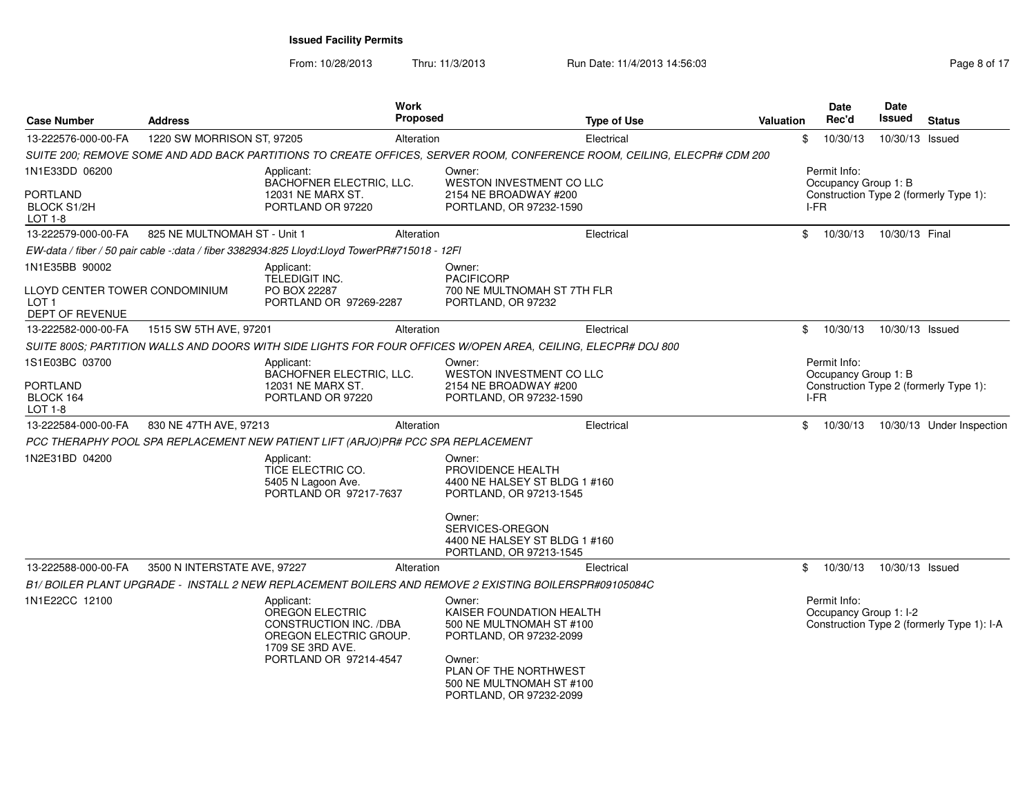From: 10/28/2013Thru: 11/3/2013 **Run Date: 11/4/2013 14:56:03** Rege 8 of 17

| Case Number                                                           | Address                      |                                                                                                       | Work<br>Proposed | <b>Type of Use</b>                                                                                                       | <b>Valuation</b> |      | <b>Date</b><br>Rec'd                   | <b>Date</b><br><b>Issued</b> | <b>Status</b>                              |
|-----------------------------------------------------------------------|------------------------------|-------------------------------------------------------------------------------------------------------|------------------|--------------------------------------------------------------------------------------------------------------------------|------------------|------|----------------------------------------|------------------------------|--------------------------------------------|
| 13-222576-000-00-FA                                                   | 1220 SW MORRISON ST, 97205   |                                                                                                       | Alteration       | Electrical                                                                                                               |                  | \$   | 10/30/13                               | 10/30/13 Issued              |                                            |
|                                                                       |                              |                                                                                                       |                  | SUITE 200; REMOVE SOME AND ADD BACK PARTITIONS TO CREATE OFFICES, SERVER ROOM, CONFERENCE ROOM, CEILING, ELECPR# CDM 200 |                  |      |                                        |                              |                                            |
| 1N1E33DD 06200<br>PORTLAND<br>BLOCK S1/2H                             |                              | Applicant:<br>BACHOFNER ELECTRIC, LLC.<br>12031 NE MARX ST.<br>PORTLAND OR 97220                      |                  | Owner:<br>WESTON INVESTMENT CO LLC<br>2154 NE BROADWAY #200<br>PORTLAND, OR 97232-1590                                   |                  | I-FR | Permit Info:<br>Occupancy Group 1: B   |                              | Construction Type 2 (formerly Type 1):     |
| LOT 1-8                                                               |                              |                                                                                                       |                  |                                                                                                                          |                  |      |                                        |                              |                                            |
| 13-222579-000-00-FA                                                   | 825 NE MULTNOMAH ST - Unit 1 |                                                                                                       | Alteration       | Electrical                                                                                                               |                  | \$   | 10/30/13                               | 10/30/13 Final               |                                            |
|                                                                       |                              | EW-data / fiber / 50 pair cable -: data / fiber 3382934:825 Lloyd: Lloyd TowerPR#715018 - 12FI        |                  |                                                                                                                          |                  |      |                                        |                              |                                            |
| 1N1E35BB 90002                                                        |                              | Applicant:                                                                                            |                  | Owner:                                                                                                                   |                  |      |                                        |                              |                                            |
| LLOYD CENTER TOWER CONDOMINIUM<br>LOT <sub>1</sub><br>DEPT OF REVENUE |                              | <b>TELEDIGIT INC.</b><br>PO BOX 22287<br>PORTLAND OR 97269-2287                                       |                  | <b>PACIFICORP</b><br>700 NE MULTNOMAH ST 7TH FLR<br>PORTLAND, OR 97232                                                   |                  |      |                                        |                              |                                            |
| 13-222582-000-00-FA                                                   | 1515 SW 5TH AVE, 97201       |                                                                                                       | Alteration       | Electrical                                                                                                               |                  | \$   | 10/30/13                               | 10/30/13 Issued              |                                            |
|                                                                       |                              |                                                                                                       |                  | SUITE 800S; PARTITION WALLS AND DOORS WITH SIDE LIGHTS FOR FOUR OFFICES W/OPEN AREA, CEILING, ELECPR# DOJ 800            |                  |      |                                        |                              |                                            |
| 1S1E03BC 03700                                                        |                              | Applicant:<br>BACHOFNER ELECTRIC, LLC.                                                                |                  | Owner:<br><b>WESTON INVESTMENT CO LLC</b>                                                                                |                  |      | Permit Info:<br>Occupancy Group 1: B   |                              |                                            |
| PORTLAND<br>BLOCK 164<br>LOT 1-8                                      |                              | 12031 NE MARX ST.<br>PORTLAND OR 97220                                                                |                  | 2154 NE BROADWAY #200<br>PORTLAND, OR 97232-1590                                                                         |                  | I-FR |                                        |                              | Construction Type 2 (formerly Type 1):     |
| 13-222584-000-00-FA                                                   | 830 NE 47TH AVE, 97213       |                                                                                                       | Alteration       | Electrical                                                                                                               |                  | \$   | 10/30/13                               |                              | 10/30/13 Under Inspection                  |
|                                                                       |                              | PCC THERAPHY POOL SPA REPLACEMENT NEW PATIENT LIFT (ARJO)PR# PCC SPA REPLACEMENT                      |                  |                                                                                                                          |                  |      |                                        |                              |                                            |
| 1N2E31BD 04200                                                        |                              | Applicant:<br>TICE ELECTRIC CO.<br>5405 N Lagoon Ave.<br>PORTLAND OR 97217-7637                       |                  | Owner:<br>PROVIDENCE HEALTH<br>4400 NE HALSEY ST BLDG 1 #160<br>PORTLAND, OR 97213-1545                                  |                  |      |                                        |                              |                                            |
|                                                                       |                              |                                                                                                       |                  | Owner:<br>SERVICES-OREGON<br>4400 NE HALSEY ST BLDG 1 #160<br>PORTLAND, OR 97213-1545                                    |                  |      |                                        |                              |                                            |
| 13-222588-000-00-FA                                                   | 3500 N INTERSTATE AVE, 97227 |                                                                                                       | Alteration       | Electrical                                                                                                               |                  | \$   | 10/30/13                               | 10/30/13 Issued              |                                            |
|                                                                       |                              |                                                                                                       |                  | B1/ BOILER PLANT UPGRADE - INSTALL 2 NEW REPLACEMENT BOILERS AND REMOVE 2 EXISTING BOILERSPR#09105084C                   |                  |      |                                        |                              |                                            |
| 1N1E22CC 12100                                                        |                              | Applicant:<br>OREGON ELECTRIC<br>CONSTRUCTION INC. /DBA<br>OREGON ELECTRIC GROUP.<br>1709 SE 3RD AVE. |                  | Owner:<br>KAISER FOUNDATION HEALTH<br>500 NE MULTNOMAH ST #100<br>PORTLAND, OR 97232-2099                                |                  |      | Permit Info:<br>Occupancy Group 1: I-2 |                              | Construction Type 2 (formerly Type 1): I-A |
|                                                                       |                              | PORTLAND OR 97214-4547                                                                                |                  | Owner:<br>PLAN OF THE NORTHWEST<br>500 NE MULTNOMAH ST #100<br>PORTLAND, OR 97232-2099                                   |                  |      |                                        |                              |                                            |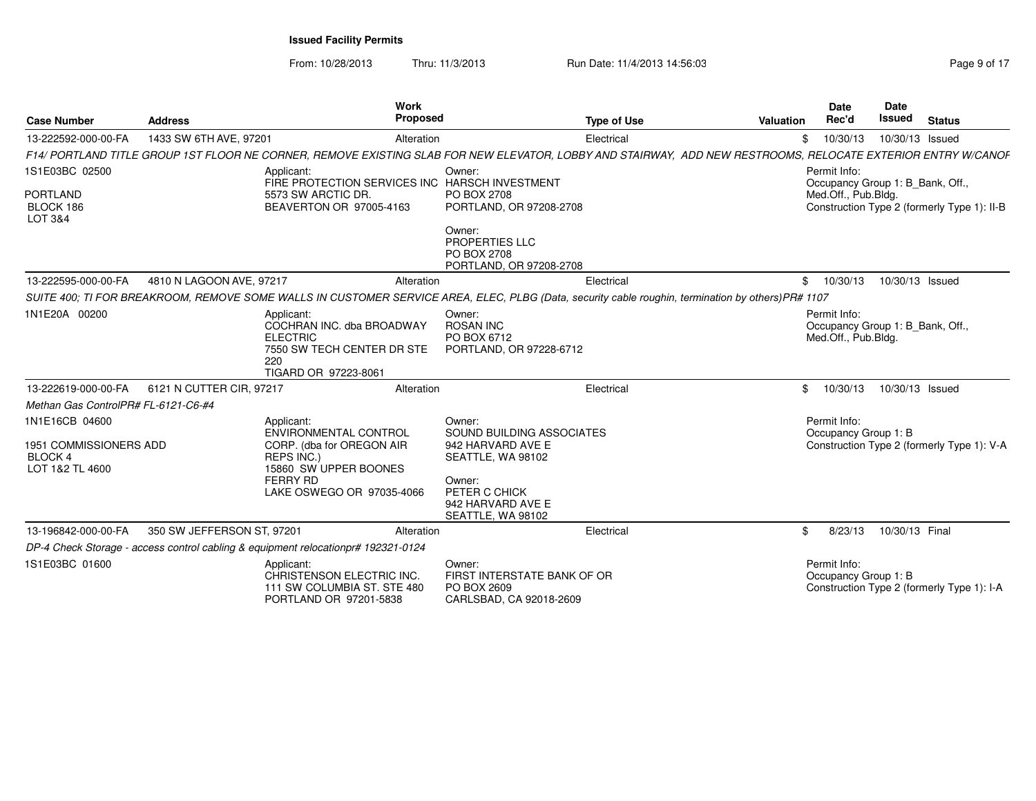From: 10/28/2013Thru: 11/3/2013 **Run Date: 11/4/2013 14:56:03** Rege 9 of 17

| <b>Case Number</b>                                                           | <b>Address</b>             | Work<br>Proposed                                                                                                                                 |                                                                                                                                                    | <b>Type of Use</b><br>Valuation                                                                                                                              | Date<br>Rec'd                                                           | <b>Date</b><br>Issued | <b>Status</b>                               |
|------------------------------------------------------------------------------|----------------------------|--------------------------------------------------------------------------------------------------------------------------------------------------|----------------------------------------------------------------------------------------------------------------------------------------------------|--------------------------------------------------------------------------------------------------------------------------------------------------------------|-------------------------------------------------------------------------|-----------------------|---------------------------------------------|
| 13-222592-000-00-FA                                                          | 1433 SW 6TH AVE, 97201     | Alteration                                                                                                                                       |                                                                                                                                                    | Electrical                                                                                                                                                   | \$10/30/13                                                              | 10/30/13 Issued       |                                             |
|                                                                              |                            |                                                                                                                                                  |                                                                                                                                                    | F14/ PORTLAND TITLE GROUP 1ST FLOOR NE CORNER. REMOVE EXISTING SLAB FOR NEW ELEVATOR. LOBBY AND STAIRWAY. ADD NEW RESTROOMS. RELOCATE EXTERIOR ENTRY W/CANOF |                                                                         |                       |                                             |
| 1S1E03BC 02500<br>PORTLAND<br>BLOCK 186<br>LOT 3&4                           |                            | Applicant:<br>FIRE PROTECTION SERVICES INC HARSCH INVESTMENT<br>5573 SW ARCTIC DR.<br>BEAVERTON OR 97005-4163                                    | Owner:<br>PO BOX 2708<br>PORTLAND, OR 97208-2708<br>Owner:<br><b>PROPERTIES LLC</b><br>PO BOX 2708<br>PORTLAND, OR 97208-2708                      |                                                                                                                                                              | Permit Info:<br>Occupancy Group 1: B_Bank, Off.,<br>Med.Off., Pub.Bldg. |                       | Construction Type 2 (formerly Type 1): II-B |
| 13-222595-000-00-FA                                                          | 4810 N LAGOON AVE, 97217   | Alteration                                                                                                                                       |                                                                                                                                                    | Electrical                                                                                                                                                   | \$10/30/13                                                              | 10/30/13 Issued       |                                             |
|                                                                              |                            |                                                                                                                                                  |                                                                                                                                                    | SUITE 400; TI FOR BREAKROOM, REMOVE SOME WALLS IN CUSTOMER SERVICE AREA, ELEC, PLBG (Data, security cable roughin, termination by others) PR# 1107           |                                                                         |                       |                                             |
| 1N1E20A 00200                                                                |                            | Applicant:<br>COCHRAN INC. dba BROADWAY<br><b>ELECTRIC</b><br>7550 SW TECH CENTER DR STE<br>220<br>TIGARD OR 97223-8061                          | Owner:<br><b>ROSAN INC</b><br>PO BOX 6712<br>PORTLAND, OR 97228-6712                                                                               |                                                                                                                                                              | Permit Info:<br>Occupancy Group 1: B_Bank, Off.<br>Med.Off., Pub.Bldg.  |                       |                                             |
| 13-222619-000-00-FA                                                          | 6121 N CUTTER CIR, 97217   | Alteration                                                                                                                                       |                                                                                                                                                    | Electrical                                                                                                                                                   | 10/30/13<br>$\mathbf{\$}$                                               | 10/30/13 Issued       |                                             |
| Methan Gas ControlPR# FL-6121-C6-#4                                          |                            |                                                                                                                                                  |                                                                                                                                                    |                                                                                                                                                              |                                                                         |                       |                                             |
| 1N1E16CB 04600<br>1951 COMMISSIONERS ADD<br><b>BLOCK4</b><br>LOT 1&2 TL 4600 |                            | Applicant:<br>ENVIRONMENTAL CONTROL<br>CORP. (dba for OREGON AIR<br>REPS INC.)<br>15860 SW UPPER BOONES<br>FERRY RD<br>LAKE OSWEGO OR 97035-4066 | Owner:<br>SOUND BUILDING ASSOCIATES<br>942 HARVARD AVE E<br>SEATTLE, WA 98102<br>Owner:<br>PETER C CHICK<br>942 HARVARD AVE E<br>SEATTLE, WA 98102 |                                                                                                                                                              | Permit Info:<br>Occupancy Group 1: B                                    |                       | Construction Type 2 (formerly Type 1): V-A  |
| 13-196842-000-00-FA                                                          | 350 SW JEFFERSON ST, 97201 | Alteration                                                                                                                                       |                                                                                                                                                    | Electrical                                                                                                                                                   | 8/23/13                                                                 | 10/30/13 Final        |                                             |
|                                                                              |                            | DP-4 Check Storage - access control cabling & equipment relocationpr# 192321-0124                                                                |                                                                                                                                                    |                                                                                                                                                              |                                                                         |                       |                                             |
| 1S1E03BC 01600                                                               |                            | Applicant:<br>CHRISTENSON ELECTRIC INC.<br>111 SW COLUMBIA ST. STE 480<br>PORTLAND OR 97201-5838                                                 | Owner:<br>FIRST INTERSTATE BANK OF OR<br>PO BOX 2609<br>CARLSBAD, CA 92018-2609                                                                    |                                                                                                                                                              | Permit Info:<br>Occupancy Group 1: B                                    |                       | Construction Type 2 (formerly Type 1): I-A  |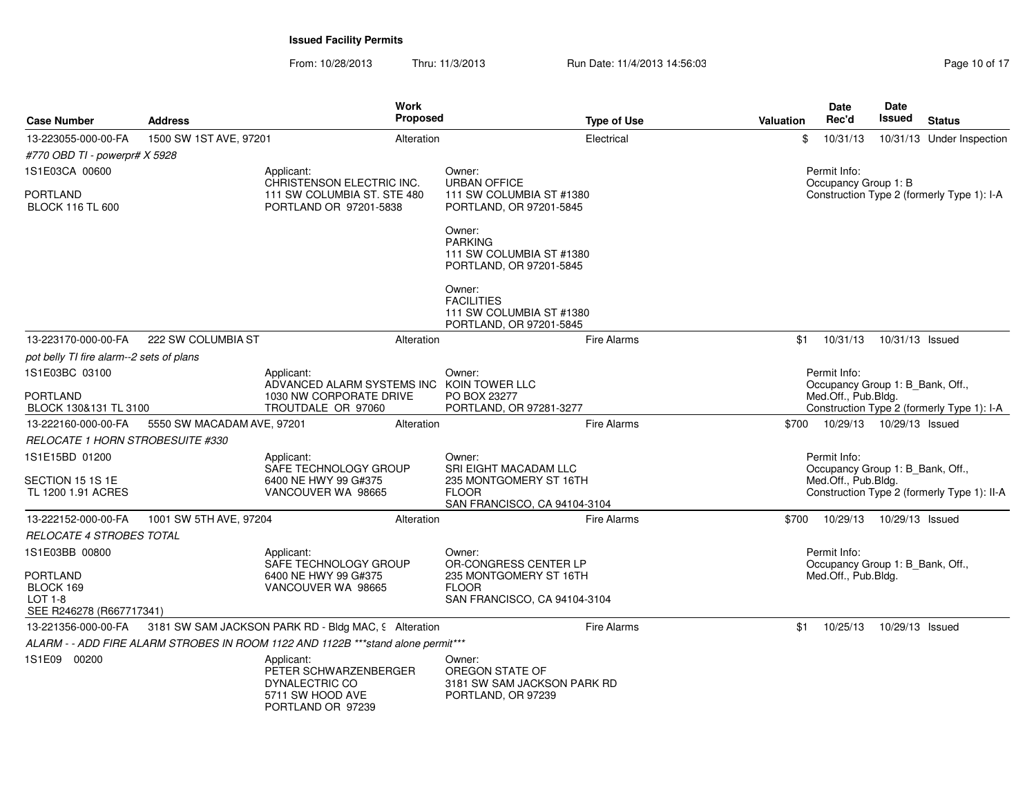From: 10/28/2013Thru: 11/3/2013 **Run Date: 11/4/2013 14:56:03** Research 2010 of 17

| <b>Case Number</b>                                           | <b>Address</b>             | <b>Work</b><br><b>Proposed</b>                                                                 |                                                                                    | <b>Type of Use</b> | Valuation | Date<br>Rec'd                                    | Date<br>Issued  | <b>Status</b>                               |
|--------------------------------------------------------------|----------------------------|------------------------------------------------------------------------------------------------|------------------------------------------------------------------------------------|--------------------|-----------|--------------------------------------------------|-----------------|---------------------------------------------|
| 13-223055-000-00-FA                                          | 1500 SW 1ST AVE, 97201     | Alteration                                                                                     |                                                                                    | Electrical         | \$        | 10/31/13                                         |                 | 10/31/13 Under Inspection                   |
| #770 OBD TI - powerpr# X 5928                                |                            |                                                                                                |                                                                                    |                    |           |                                                  |                 |                                             |
| 1S1E03CA 00600                                               |                            | Applicant:<br>CHRISTENSON ELECTRIC INC.                                                        | Owner:<br><b>URBAN OFFICE</b>                                                      |                    |           | Permit Info:<br>Occupancy Group 1: B             |                 |                                             |
| PORTLAND<br><b>BLOCK 116 TL 600</b>                          |                            | 111 SW COLUMBIA ST. STE 480<br>PORTLAND OR 97201-5838                                          | 111 SW COLUMBIA ST #1380<br>PORTLAND, OR 97201-5845                                |                    |           |                                                  |                 | Construction Type 2 (formerly Type 1): I-A  |
|                                                              |                            |                                                                                                | Owner:<br><b>PARKING</b><br>111 SW COLUMBIA ST #1380<br>PORTLAND, OR 97201-5845    |                    |           |                                                  |                 |                                             |
|                                                              |                            |                                                                                                | Owner:<br><b>FACILITIES</b><br>111 SW COLUMBIA ST #1380<br>PORTLAND, OR 97201-5845 |                    |           |                                                  |                 |                                             |
| 13-223170-000-00-FA                                          | 222 SW COLUMBIA ST         | Alteration                                                                                     |                                                                                    | <b>Fire Alarms</b> | \$1       | 10/31/13  10/31/13  Issued                       |                 |                                             |
| pot belly TI fire alarm--2 sets of plans                     |                            |                                                                                                |                                                                                    |                    |           |                                                  |                 |                                             |
| 1S1E03BC 03100                                               |                            | Applicant:<br>ADVANCED ALARM SYSTEMS INC KOIN TOWER LLC                                        | Owner:                                                                             |                    |           | Permit Info:<br>Occupancy Group 1: B_Bank, Off., |                 |                                             |
| <b>PORTLAND</b><br>BLOCK 130&131 TL 3100                     |                            | 1030 NW CORPORATE DRIVE<br>TROUTDALE OR 97060                                                  | PO BOX 23277<br>PORTLAND, OR 97281-3277                                            |                    |           | Med.Off., Pub.Bldg.                              |                 | Construction Type 2 (formerly Type 1): I-A  |
| 13-222160-000-00-FA                                          | 5550 SW MACADAM AVE, 97201 | Alteration                                                                                     |                                                                                    | Fire Alarms        |           | \$700 10/29/13 10/29/13 Issued                   |                 |                                             |
| <i>RELOCATE 1 HORN STROBESUITE #330</i>                      |                            |                                                                                                |                                                                                    |                    |           |                                                  |                 |                                             |
| 1S1E15BD 01200                                               |                            | Applicant:<br>SAFE TECHNOLOGY GROUP                                                            | Owner:<br>SRI EIGHT MACADAM LLC                                                    |                    |           | Permit Info:<br>Occupancy Group 1: B_Bank, Off., |                 |                                             |
| SECTION 15 1S 1E<br>TL 1200 1.91 ACRES                       |                            | 6400 NE HWY 99 G#375<br>VANCOUVER WA 98665                                                     | 235 MONTGOMERY ST 16TH<br><b>FLOOR</b><br>SAN FRANCISCO, CA 94104-3104             |                    |           | Med.Off., Pub.Bldg.                              |                 | Construction Type 2 (formerly Type 1): II-A |
| 13-222152-000-00-FA                                          | 1001 SW 5TH AVE, 97204     | Alteration                                                                                     |                                                                                    | Fire Alarms        | \$700     | 10/29/13  10/29/13  Issued                       |                 |                                             |
| RELOCATE 4 STROBES TOTAL                                     |                            |                                                                                                |                                                                                    |                    |           |                                                  |                 |                                             |
| 1S1E03BB 00800                                               |                            | Applicant:<br>SAFE TECHNOLOGY GROUP                                                            | Owner:<br>OR-CONGRESS CENTER LP                                                    |                    |           | Permit Info:<br>Occupancy Group 1: B_Bank, Off., |                 |                                             |
| PORTLAND<br>BLOCK 169<br>LOT 1-8<br>SEE R246278 (R667717341) |                            | 6400 NE HWY 99 G#375<br>VANCOUVER WA 98665                                                     | 235 MONTGOMERY ST 16TH<br><b>FLOOR</b><br>SAN FRANCISCO, CA 94104-3104             |                    |           | Med.Off., Pub.Bldg.                              |                 |                                             |
| 13-221356-000-00-FA                                          |                            | 3181 SW SAM JACKSON PARK RD - Bldg MAC, 9 Alteration                                           |                                                                                    | Fire Alarms        | \$1       | 10/25/13                                         | 10/29/13 Issued |                                             |
|                                                              |                            | ALARM - - ADD FIRE ALARM STROBES IN ROOM 1122 AND 1122B ***stand alone permit***               |                                                                                    |                    |           |                                                  |                 |                                             |
| 1S1E09 00200                                                 |                            | Applicant:<br>PETER SCHWARZENBERGER<br>DYNALECTRIC CO<br>5711 SW HOOD AVE<br>PORTLAND OR 97239 | Owner:<br>OREGON STATE OF<br>3181 SW SAM JACKSON PARK RD<br>PORTLAND, OR 97239     |                    |           |                                                  |                 |                                             |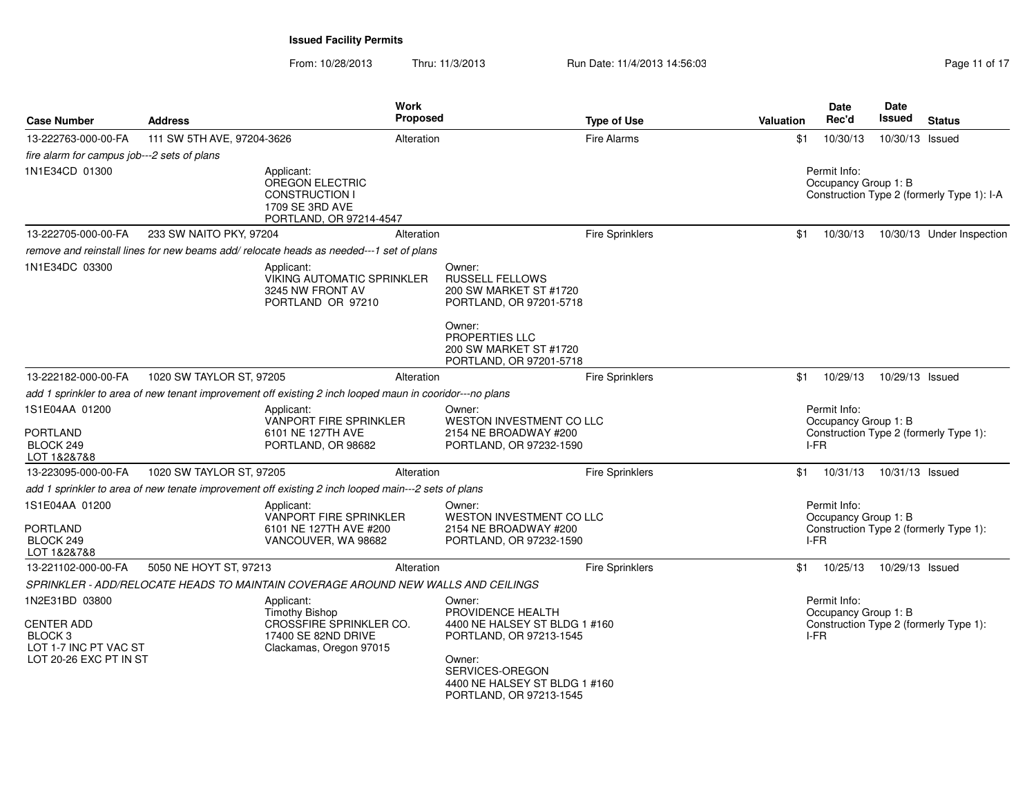From: 10/28/2013Thru: 11/3/2013 **Run Date: 11/4/2013 14:56:03** Rage 11 of 17

| <b>Case Number</b>                                                                                           | <b>Address</b>             |                                                                                                                  | Work<br>Proposed | <b>Type of Use</b>                                                                                                                                                               | <b>Valuation</b>                     | Date<br>Rec'd                                | Date<br>Issued  | <b>Status</b>                          |
|--------------------------------------------------------------------------------------------------------------|----------------------------|------------------------------------------------------------------------------------------------------------------|------------------|----------------------------------------------------------------------------------------------------------------------------------------------------------------------------------|--------------------------------------|----------------------------------------------|-----------------|----------------------------------------|
| 13-222763-000-00-FA                                                                                          | 111 SW 5TH AVE, 97204-3626 |                                                                                                                  | Alteration       | Fire Alarms                                                                                                                                                                      | \$1                                  | 10/30/13                                     | 10/30/13 Issued |                                        |
| fire alarm for campus job---2 sets of plans                                                                  |                            |                                                                                                                  |                  |                                                                                                                                                                                  |                                      |                                              |                 |                                        |
| 1N1E34CD 01300                                                                                               |                            | Applicant:<br>OREGON ELECTRIC<br><b>CONSTRUCTION I</b><br>1709 SE 3RD AVE<br>PORTLAND, OR 97214-4547             |                  |                                                                                                                                                                                  | Permit Info:<br>Occupancy Group 1: B | Construction Type 2 (formerly Type 1): I-A   |                 |                                        |
| 13-222705-000-00-FA                                                                                          | 233 SW NAITO PKY, 97204    |                                                                                                                  | Alteration       | Fire Sprinklers                                                                                                                                                                  | \$1                                  | 10/30/13                                     |                 | 10/30/13 Under Inspection              |
|                                                                                                              |                            | remove and reinstall lines for new beams add/relocate heads as needed---1 set of plans                           |                  |                                                                                                                                                                                  |                                      |                                              |                 |                                        |
| 1N1E34DC 03300                                                                                               |                            | Applicant:<br><b>VIKING AUTOMATIC SPRINKLER</b><br>3245 NW FRONT AV<br>PORTLAND OR 97210                         |                  | Owner:<br><b>RUSSELL FELLOWS</b><br>200 SW MARKET ST #1720<br>PORTLAND, OR 97201-5718<br>Owner:<br>PROPERTIES LLC<br>200 SW MARKET ST #1720<br>PORTLAND, OR 97201-5718           |                                      |                                              |                 |                                        |
| 13-222182-000-00-FA                                                                                          | 1020 SW TAYLOR ST, 97205   |                                                                                                                  | Alteration       | <b>Fire Sprinklers</b>                                                                                                                                                           | \$1                                  | 10/29/13                                     | 10/29/13 Issued |                                        |
|                                                                                                              |                            | add 1 sprinkler to area of new tenant improvement off existing 2 inch looped maun in cooridor---no plans         |                  |                                                                                                                                                                                  |                                      |                                              |                 |                                        |
| 1S1E04AA 01200<br><b>PORTLAND</b><br>BLOCK 249<br>LOT 1&2&7&8                                                |                            | Applicant:<br>VANPORT FIRE SPRINKLER<br>6101 NE 127TH AVE<br>PORTLAND, OR 98682                                  |                  | Owner:<br>WESTON INVESTMENT CO LLC<br>2154 NE BROADWAY #200<br>PORTLAND, OR 97232-1590                                                                                           |                                      | Permit Info:<br>Occupancy Group 1: B<br>I-FR |                 | Construction Type 2 (formerly Type 1): |
| 13-223095-000-00-FA                                                                                          | 1020 SW TAYLOR ST, 97205   |                                                                                                                  | Alteration       | <b>Fire Sprinklers</b>                                                                                                                                                           | \$1                                  | 10/31/13                                     | 10/31/13 Issued |                                        |
|                                                                                                              |                            | add 1 sprinkler to area of new tenate improvement off existing 2 inch looped main---2 sets of plans              |                  |                                                                                                                                                                                  |                                      |                                              |                 |                                        |
| 1S1E04AA 01200<br><b>PORTLAND</b><br>BLOCK 249<br>LOT 1&2&7&8                                                |                            | Applicant:<br>VANPORT FIRE SPRINKLER<br>6101 NE 127TH AVE #200<br>VANCOUVER, WA 98682                            |                  | Owner:<br>WESTON INVESTMENT CO LLC<br>2154 NE BROADWAY #200<br>PORTLAND, OR 97232-1590                                                                                           |                                      | Permit Info:<br>Occupancy Group 1: B<br>I-FR |                 | Construction Type 2 (formerly Type 1): |
| 13-221102-000-00-FA                                                                                          | 5050 NE HOYT ST, 97213     |                                                                                                                  | Alteration       | <b>Fire Sprinklers</b>                                                                                                                                                           | \$1                                  | 10/25/13                                     | 10/29/13 Issued |                                        |
|                                                                                                              |                            | SPRINKLER - ADD/RELOCATE HEADS TO MAINTAIN COVERAGE AROUND NEW WALLS AND CEILINGS                                |                  |                                                                                                                                                                                  |                                      |                                              |                 |                                        |
| 1N2E31BD 03800<br><b>CENTER ADD</b><br>BLOCK <sub>3</sub><br>LOT 1-7 INC PT VAC ST<br>LOT 20-26 EXC PT IN ST |                            | Applicant:<br><b>Timothy Bishop</b><br>CROSŚFIRE SPRINKLER CO.<br>17400 SE 82ND DRIVE<br>Clackamas, Oregon 97015 |                  | Owner:<br>PROVIDENCE HEALTH<br>4400 NE HALSEY ST BLDG 1 #160<br>PORTLAND, OR 97213-1545<br>Owner:<br>SERVICES-OREGON<br>4400 NE HALSEY ST BLDG 1 #160<br>PORTLAND, OR 97213-1545 |                                      | Permit Info:<br>Occupancy Group 1: B<br>I-FR |                 | Construction Type 2 (formerly Type 1): |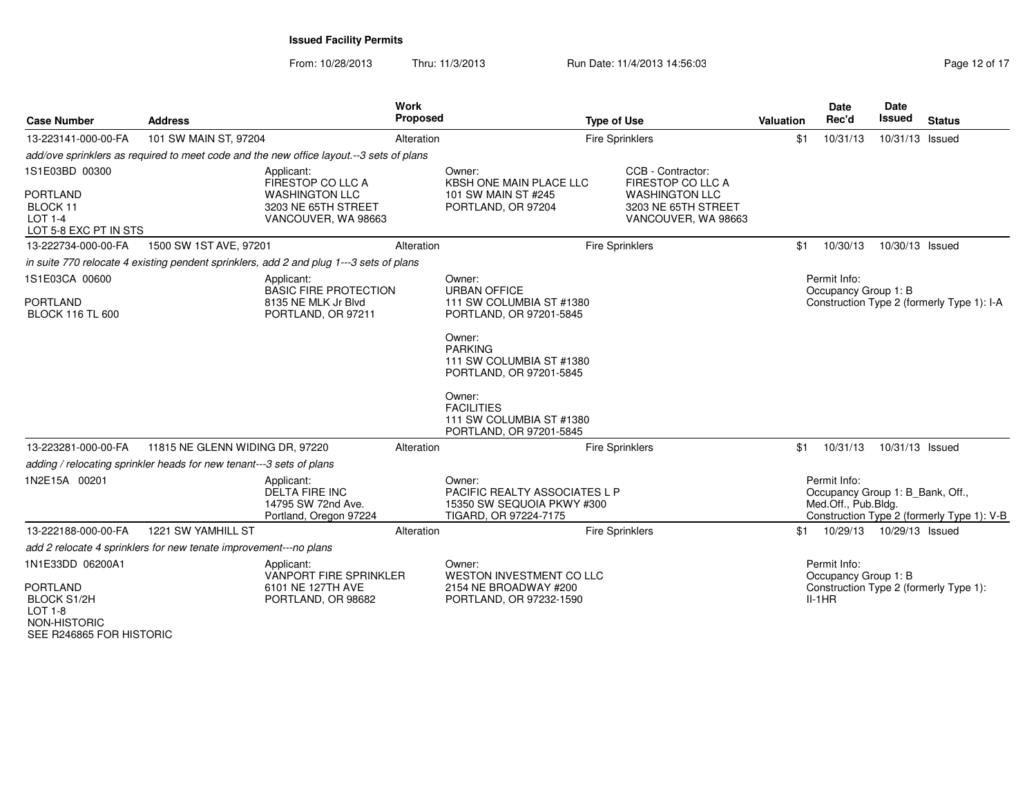| <b>Case Number</b>                                                                                                      | <b>Address</b>                                                       |                                                                                                        | Work<br><b>Proposed</b> |                                                                                                                                                                       | <b>Type of Use</b> |                                                                                                               | <b>Valuation</b>                                                                   | <b>Date</b><br>Rec'd                                                    | <b>Date</b><br>Issued | <b>Status</b>                              |
|-------------------------------------------------------------------------------------------------------------------------|----------------------------------------------------------------------|--------------------------------------------------------------------------------------------------------|-------------------------|-----------------------------------------------------------------------------------------------------------------------------------------------------------------------|--------------------|---------------------------------------------------------------------------------------------------------------|------------------------------------------------------------------------------------|-------------------------------------------------------------------------|-----------------------|--------------------------------------------|
| 13-223141-000-00-FA                                                                                                     | 101 SW MAIN ST, 97204                                                |                                                                                                        | Alteration              |                                                                                                                                                                       |                    | <b>Fire Sprinklers</b>                                                                                        | \$1                                                                                | 10/31/13                                                                | 10/31/13 Issued       |                                            |
|                                                                                                                         |                                                                      | add/ove sprinklers as required to meet code and the new office layout.--3 sets of plans                |                         |                                                                                                                                                                       |                    |                                                                                                               |                                                                                    |                                                                         |                       |                                            |
| 1S1E03BD 00300<br><b>PORTLAND</b><br>BLOCK 11<br><b>LOT 1-4</b><br>LOT 5-8 EXC PT IN STS                                |                                                                      | Applicant:<br>FIRESTOP CO LLC A<br><b>WASHINGTON LLC</b><br>3203 NE 65TH STREET<br>VANCOUVER, WA 98663 |                         | Owner:<br><b>KBSH ONE MAIN PLACE LLC</b><br>101 SW MAIN ST #245<br>PORTLAND, OR 97204                                                                                 |                    | CCB - Contractor:<br>FIRESTOP CO LLC A<br><b>WASHINGTON LLC</b><br>3203 NE 65TH STREET<br>VANCOUVER, WA 98663 |                                                                                    |                                                                         |                       |                                            |
| 13-222734-000-00-FA                                                                                                     | 1500 SW 1ST AVE, 97201                                               |                                                                                                        | Alteration              |                                                                                                                                                                       |                    | <b>Fire Sprinklers</b>                                                                                        | \$1                                                                                | 10/30/13                                                                | 10/30/13 Issued       |                                            |
|                                                                                                                         |                                                                      | in suite 770 relocate 4 existing pendent sprinklers, add 2 and plug 1---3 sets of plans                |                         |                                                                                                                                                                       |                    |                                                                                                               |                                                                                    |                                                                         |                       |                                            |
| 1S1E03CA 00600<br>Applicant:<br><b>PORTLAND</b><br><b>BLOCK 116 TL 600</b>                                              |                                                                      | <b>BASIC FIRE PROTECTION</b><br>8135 NE MLK Jr Blvd<br>PORTLAND, OR 97211                              |                         | Owner:<br><b>URBAN OFFICE</b><br>111 SW COLUMBIA ST #1380<br>PORTLAND, OR 97201-5845                                                                                  |                    |                                                                                                               | Permit Info:<br>Occupancy Group 1: B<br>Construction Type 2 (formerly Type 1): I-A |                                                                         |                       |                                            |
|                                                                                                                         |                                                                      |                                                                                                        |                         | Owner:<br><b>PARKING</b><br>111 SW COLUMBIA ST #1380<br>PORTLAND, OR 97201-5845<br>Owner:<br><b>FACILITIES</b><br>111 SW COLUMBIA ST #1380<br>PORTLAND, OR 97201-5845 |                    |                                                                                                               |                                                                                    |                                                                         |                       |                                            |
| 13-223281-000-00-FA                                                                                                     | 11815 NE GLENN WIDING DR, 97220                                      |                                                                                                        | Alteration              |                                                                                                                                                                       |                    | <b>Fire Sprinklers</b>                                                                                        | \$1                                                                                | 10/31/13                                                                | 10/31/13 Issued       |                                            |
|                                                                                                                         | adding / relocating sprinkler heads for new tenant---3 sets of plans |                                                                                                        |                         |                                                                                                                                                                       |                    |                                                                                                               |                                                                                    |                                                                         |                       |                                            |
| 1N2E15A 00201                                                                                                           |                                                                      | Applicant:<br><b>DELTA FIRE INC</b><br>14795 SW 72nd Ave.<br>Portland, Oregon 97224                    |                         | Owner:<br>PACIFIC REALTY ASSOCIATES L P<br>15350 SW SEQUOIA PKWY #300<br>TIGARD, OR 97224-7175                                                                        |                    |                                                                                                               |                                                                                    | Permit Info:<br>Occupancy Group 1: B Bank, Off.,<br>Med.Off., Pub.Bldg. |                       | Construction Type 2 (formerly Type 1): V-B |
| 13-222188-000-00-FA                                                                                                     | 1221 SW YAMHILL ST                                                   |                                                                                                        | Alteration              |                                                                                                                                                                       |                    | <b>Fire Sprinklers</b>                                                                                        | \$1                                                                                | 10/29/13                                                                | 10/29/13 Issued       |                                            |
|                                                                                                                         | add 2 relocate 4 sprinklers for new tenate improvement---no plans    |                                                                                                        |                         |                                                                                                                                                                       |                    |                                                                                                               |                                                                                    |                                                                         |                       |                                            |
| 1N1E33DD 06200A1<br><b>PORTLAND</b><br><b>BLOCK S1/2H</b><br><b>LOT 1-8</b><br>NON-HISTORIC<br>SEE R246865 FOR HISTORIC |                                                                      | Applicant:<br>VANPORT FIRE SPRINKLER<br>6101 NE 127TH AVE<br>PORTLAND, OR 98682                        |                         | Owner:<br>WESTON INVESTMENT CO LLC<br>2154 NE BROADWAY #200<br>PORTLAND, OR 97232-1590                                                                                |                    |                                                                                                               |                                                                                    | Permit Info:<br>Occupancy Group 1: B<br>$II-1HR$                        |                       | Construction Type 2 (formerly Type 1):     |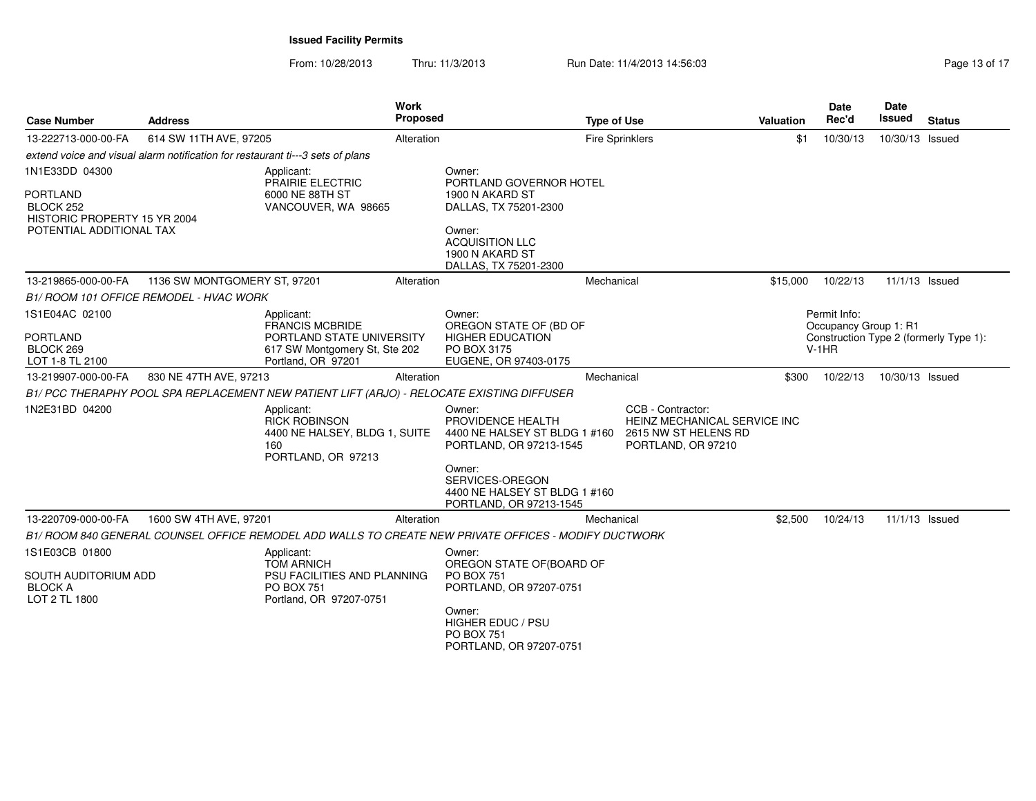| <b>Case Number</b>                                                                                         | <b>Address</b>                                                                 | <b>Work</b><br>Proposed                                                                                                  |                                                                                                                                                                   | <b>Type of Use</b>                                                                                                            | <b>Valuation</b> | <b>Date</b><br>Rec'd                             | <b>Date</b><br>Issued | <b>Status</b>                          |
|------------------------------------------------------------------------------------------------------------|--------------------------------------------------------------------------------|--------------------------------------------------------------------------------------------------------------------------|-------------------------------------------------------------------------------------------------------------------------------------------------------------------|-------------------------------------------------------------------------------------------------------------------------------|------------------|--------------------------------------------------|-----------------------|----------------------------------------|
| 13-222713-000-00-FA                                                                                        | 614 SW 11TH AVE, 97205                                                         | Alteration                                                                                                               |                                                                                                                                                                   | <b>Fire Sprinklers</b>                                                                                                        | \$1              | 10/30/13                                         | 10/30/13 Issued       |                                        |
|                                                                                                            | extend voice and visual alarm notification for restaurant ti---3 sets of plans |                                                                                                                          |                                                                                                                                                                   |                                                                                                                               |                  |                                                  |                       |                                        |
| 1N1E33DD 04300<br><b>PORTLAND</b><br>BLOCK 252<br>HISTORIC PROPERTY 15 YR 2004<br>POTENTIAL ADDITIONAL TAX |                                                                                | Applicant:<br>PRAIRIE ELECTRIC<br>6000 NE 88TH ST<br>VANCOUVER, WA 98665                                                 | Owner:<br>PORTLAND GOVERNOR HOTEL<br>1900 N AKARD ST<br>DALLAS, TX 75201-2300<br>Owner:<br><b>ACQUISITION LLC</b><br>1900 N AKARD ST<br>DALLAS, TX 75201-2300     |                                                                                                                               |                  |                                                  |                       |                                        |
| 13-219865-000-00-FA                                                                                        | 1136 SW MONTGOMERY ST, 97201                                                   | Alteration                                                                                                               |                                                                                                                                                                   | Mechanical                                                                                                                    | \$15,000         | 10/22/13                                         | 11/1/13 Issued        |                                        |
|                                                                                                            | B1/ ROOM 101 OFFICE REMODEL - HVAC WORK                                        |                                                                                                                          |                                                                                                                                                                   |                                                                                                                               |                  |                                                  |                       |                                        |
| 1S1E04AC 02100<br><b>PORTLAND</b><br>BLOCK 269<br>LOT 1-8 TL 2100                                          |                                                                                | Applicant:<br><b>FRANCIS MCBRIDE</b><br>PORTLAND STATE UNIVERSITY<br>617 SW Montgomery St, Ste 202<br>Portland, OR 97201 | Owner:<br>OREGON STATE OF (BD OF<br><b>HIGHER EDUCATION</b><br>PO BOX 3175<br>EUGENE, OR 97403-0175                                                               |                                                                                                                               |                  | Permit Info:<br>Occupancy Group 1: R1<br>$V-1HR$ |                       | Construction Type 2 (formerly Type 1): |
| 13-219907-000-00-FA                                                                                        | 830 NE 47TH AVE, 97213                                                         | Alteration                                                                                                               |                                                                                                                                                                   | Mechanical                                                                                                                    | \$300            | 10/22/13                                         | 10/30/13 Issued       |                                        |
|                                                                                                            |                                                                                | B1/ PCC THERAPHY POOL SPA REPLACEMENT NEW PATIENT LIFT (ARJO) - RELOCATE EXISTING DIFFUSER                               |                                                                                                                                                                   |                                                                                                                               |                  |                                                  |                       |                                        |
| 1N2E31BD 04200                                                                                             |                                                                                | Applicant:<br><b>RICK ROBINSON</b><br>4400 NE HALSEY, BLDG 1, SUITE<br>160<br>PORTLAND, OR 97213                         | Owner:<br>PROVIDENCE HEALTH<br>PORTLAND, OR 97213-1545<br>Owner:<br>SERVICES-OREGON<br>4400 NE HALSEY ST BLDG 1 #160<br>PORTLAND, OR 97213-1545                   | CCB - Contractor:<br>HEINZ MECHANICAL SERVICE INC<br>4400 NE HALSEY ST BLDG 1 #160 2615 NW ST HELENS RD<br>PORTLAND, OR 97210 |                  |                                                  |                       |                                        |
| 13-220709-000-00-FA                                                                                        | 1600 SW 4TH AVE, 97201                                                         | Alteration                                                                                                               |                                                                                                                                                                   | Mechanical                                                                                                                    | \$2,500          | 10/24/13                                         | 11/1/13 Issued        |                                        |
|                                                                                                            |                                                                                | B1/ ROOM 840 GENERAL COUNSEL OFFICE REMODEL ADD WALLS TO CREATE NEW PRIVATE OFFICES - MODIFY DUCTWORK                    |                                                                                                                                                                   |                                                                                                                               |                  |                                                  |                       |                                        |
| 1S1E03CB 01800<br>SOUTH AUDITORIUM ADD<br><b>BLOCK A</b><br>LOT 2 TL 1800                                  |                                                                                | Applicant:<br><b>TOM ARNICH</b><br>PSU FACILITIES AND PLANNING<br><b>PO BOX 751</b><br>Portland, OR 97207-0751           | Owner:<br>OREGON STATE OF(BOARD OF<br><b>PO BOX 751</b><br>PORTLAND, OR 97207-0751<br>Owner:<br>HIGHER EDUC / PSU<br><b>PO BOX 751</b><br>PORTLAND, OR 97207-0751 |                                                                                                                               |                  |                                                  |                       |                                        |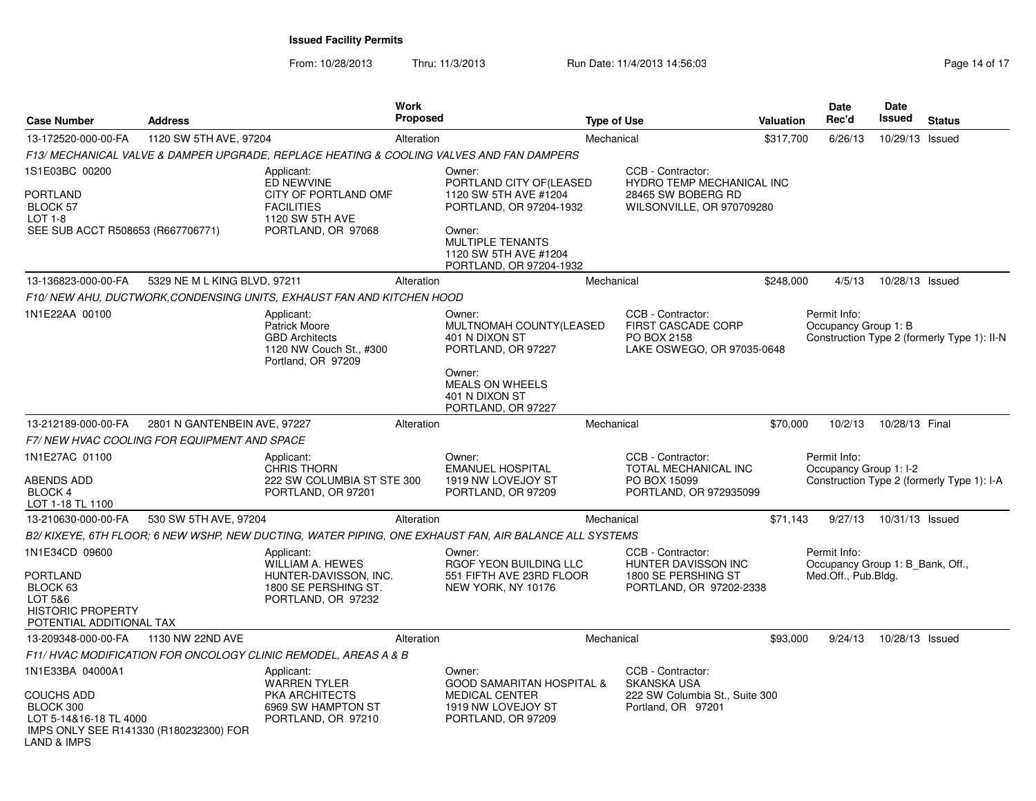| <b>Case Number</b>                                                                                                                   | <b>Address</b>                              |                                                                                                                | Work<br><b>Proposed</b> |                                                                                                                                                                                 | <b>Type of Use</b>                                                                                | Valuation | <b>Date</b><br>Rec'd                                                    | <b>Date</b><br>Issued | <b>Status</b>                               |
|--------------------------------------------------------------------------------------------------------------------------------------|---------------------------------------------|----------------------------------------------------------------------------------------------------------------|-------------------------|---------------------------------------------------------------------------------------------------------------------------------------------------------------------------------|---------------------------------------------------------------------------------------------------|-----------|-------------------------------------------------------------------------|-----------------------|---------------------------------------------|
| 13-172520-000-00-FA                                                                                                                  | 1120 SW 5TH AVE, 97204                      |                                                                                                                | Alteration              |                                                                                                                                                                                 | Mechanical                                                                                        | \$317.700 | 6/26/13                                                                 | 10/29/13 Issued       |                                             |
|                                                                                                                                      |                                             | F13/ MECHANICAL VALVE & DAMPER UPGRADE, REPLACE HEATING & COOLING VALVES AND FAN DAMPERS                       |                         |                                                                                                                                                                                 |                                                                                                   |           |                                                                         |                       |                                             |
| 1S1E03BC 00200<br><b>PORTLAND</b><br><b>BLOCK 57</b><br>LOT 1-8<br>SEE SUB ACCT R508653 (R667706771)                                 |                                             | Applicant:<br>ED NEWVINE<br>CITY OF PORTLAND OMF<br><b>FACILITIES</b><br>1120 SW 5TH AVE<br>PORTLAND, OR 97068 |                         | Owner:<br>PORTLAND CITY OF (LEASED<br>1120 SW 5TH AVE #1204<br>PORTLAND, OR 97204-1932<br>Owner:<br><b>MULTIPLE TENANTS</b><br>1120 SW 5TH AVE #1204<br>PORTLAND, OR 97204-1932 | CCB - Contractor:<br>HYDRO TEMP MECHANICAL INC<br>28465 SW BOBERG RD<br>WILSONVILLE, OR 970709280 |           |                                                                         |                       |                                             |
| 13-136823-000-00-FA                                                                                                                  | 5329 NE M L KING BLVD, 97211                |                                                                                                                | Alteration              |                                                                                                                                                                                 | Mechanical                                                                                        | \$248,000 | 4/5/13                                                                  | 10/28/13 Issued       |                                             |
|                                                                                                                                      |                                             | F10/ NEW AHU, DUCTWORK, CONDENSING UNITS, EXHAUST FAN AND KITCHEN HOOD                                         |                         |                                                                                                                                                                                 |                                                                                                   |           |                                                                         |                       |                                             |
| 1N1E22AA 00100                                                                                                                       |                                             | Applicant:<br>Patrick Moore<br><b>GBD Architects</b><br>1120 NW Couch St., #300<br>Portland, OR 97209          |                         | Owner:<br>MULTNOMAH COUNTY(LEASED<br>401 N DIXON ST<br>PORTLAND, OR 97227<br>Owner:<br><b>MEALS ON WHEELS</b>                                                                   | CCB - Contractor:<br>FIRST CASCADE CORP<br>PO BOX 2158<br>LAKE OSWEGO, OR 97035-0648              |           | Permit Info:<br>Occupancy Group 1: B                                    |                       | Construction Type 2 (formerly Type 1): II-N |
|                                                                                                                                      |                                             |                                                                                                                |                         | 401 N DIXON ST<br>PORTLAND, OR 97227                                                                                                                                            |                                                                                                   |           |                                                                         |                       |                                             |
| 13-212189-000-00-FA                                                                                                                  | 2801 N GANTENBEIN AVE, 97227                |                                                                                                                | Alteration              |                                                                                                                                                                                 | Mechanical                                                                                        | \$70,000  | 10/2/13                                                                 | 10/28/13 Final        |                                             |
|                                                                                                                                      | F7/NEW HVAC COOLING FOR EQUIPMENT AND SPACE |                                                                                                                |                         |                                                                                                                                                                                 |                                                                                                   |           |                                                                         |                       |                                             |
| 1N1E27AC 01100<br>ABENDS ADD<br>BLOCK 4<br>LOT 1-18 TL 1100                                                                          |                                             | Applicant:<br><b>CHRIS THORN</b><br>222 SW COLUMBIA ST STE 300<br>PORTLAND, OR 97201                           |                         | Owner:<br><b>EMANUEL HOSPITAL</b><br>1919 NW LOVEJOY ST<br>PORTLAND, OR 97209                                                                                                   | CCB - Contractor:<br><b>TOTAL MECHANICAL INC</b><br>PO BOX 15099<br>PORTLAND, OR 972935099        |           | Permit Info:<br>Occupancy Group 1: I-2                                  |                       | Construction Type 2 (formerly Type 1): I-A  |
| 13-210630-000-00-FA                                                                                                                  | 530 SW 5TH AVE, 97204                       |                                                                                                                | Alteration              |                                                                                                                                                                                 | Mechanical                                                                                        | \$71,143  | 9/27/13                                                                 | 10/31/13 Issued       |                                             |
|                                                                                                                                      |                                             |                                                                                                                |                         | B2/ KIXEYE, 6TH FLOOR; 6 NEW WSHP, NEW DUCTING, WATER PIPING, ONE EXHAUST FAN, AIR BALANCE ALL SYSTEMS                                                                          |                                                                                                   |           |                                                                         |                       |                                             |
| 1N1E34CD 09600<br>PORTLAND<br>BLOCK 63<br>LOT 5&6<br><b>HISTORIC PROPERTY</b><br>POTENTIAL ADDITIONAL TAX                            |                                             | Applicant:<br><b>WILLIAM A. HEWES</b><br>HUNTER-DAVISSON, INC.<br>1800 SE PERSHING ST.<br>PORTLAND, OR 97232   |                         | Owner:<br>RGOF YEON BUILDING LLC<br>551 FIFTH AVE 23RD FLOOR<br>NEW YORK, NY 10176                                                                                              | CCB - Contractor:<br>HUNTER DAVISSON INC<br>1800 SE PERSHING ST<br>PORTLAND, OR 97202-2338        |           | Permit Info:<br>Occupancy Group 1: B_Bank, Off.,<br>Med.Off., Pub.Bldg. |                       |                                             |
| 13-209348-000-00-FA                                                                                                                  | 1130 NW 22ND AVE                            |                                                                                                                | Alteration              |                                                                                                                                                                                 | Mechanical                                                                                        | \$93,000  | 9/24/13                                                                 | 10/28/13 Issued       |                                             |
|                                                                                                                                      |                                             | F11/ HVAC MODIFICATION FOR ONCOLOGY CLINIC REMODEL, AREAS A & B                                                |                         |                                                                                                                                                                                 |                                                                                                   |           |                                                                         |                       |                                             |
| 1N1E33BA 04000A1<br><b>COUCHS ADD</b><br>BLOCK 300<br>LOT 5-14&16-18 TL 4000<br>IMPS ONLY SEE R141330 (R180232300) FOR<br>AND & IMPS |                                             | Applicant:<br><b>WARREN TYLER</b><br>PKA ARCHITECTS<br>6969 SW HAMPTON ST<br>PORTLAND, OR 97210                |                         | Owner:<br><b>GOOD SAMARITAN HOSPITAL &amp;</b><br><b>MEDICAL CENTER</b><br>1919 NW LOVEJOY ST<br>PORTLAND, OR 97209                                                             | CCB - Contractor:<br><b>SKANSKA USA</b><br>222 SW Columbia St., Suite 300<br>Portland, OR 97201   |           |                                                                         |                       |                                             |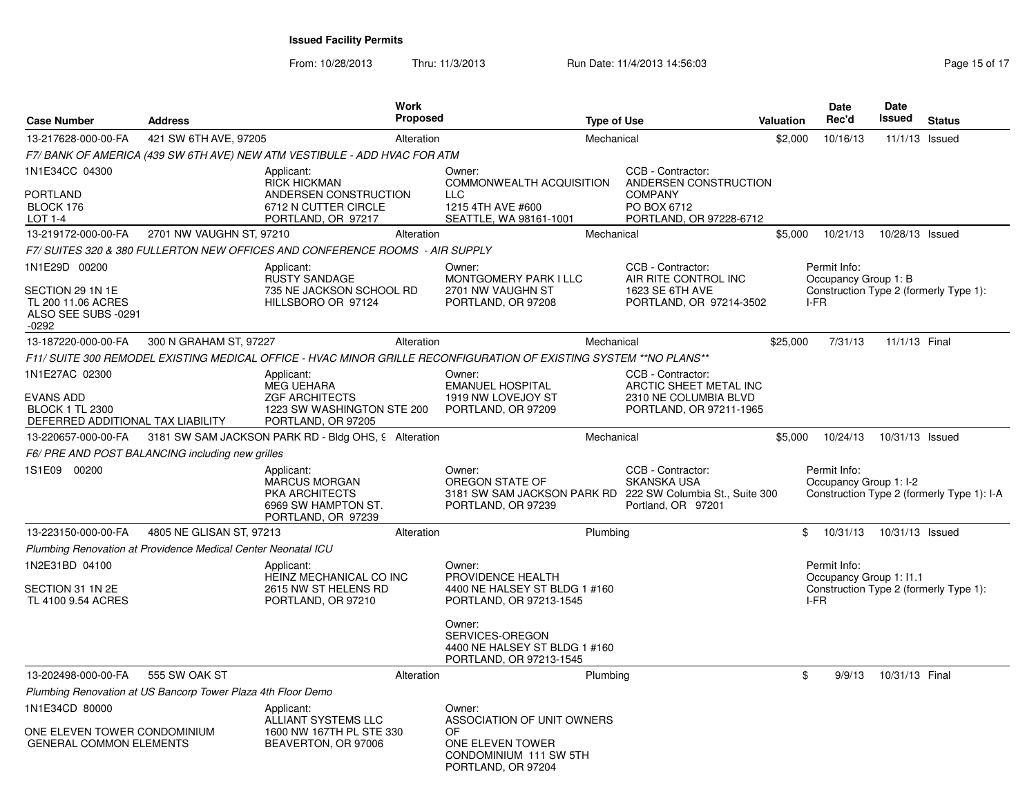From: 10/28/2013Thru: 11/3/2013 **Run Date: 11/4/2013 14:56:03** Research 2013 14:56:03

| <b>Case Number</b>                                                                                | <b>Address</b>                                                | Work<br><b>Proposed</b>                                                                                            |                                                                                                                                                       | <b>Type of Use</b> |                                                                                                                             | Valuation | <b>Date</b><br>Rec'd                            | Date<br>Issued  | <b>Status</b>                              |
|---------------------------------------------------------------------------------------------------|---------------------------------------------------------------|--------------------------------------------------------------------------------------------------------------------|-------------------------------------------------------------------------------------------------------------------------------------------------------|--------------------|-----------------------------------------------------------------------------------------------------------------------------|-----------|-------------------------------------------------|-----------------|--------------------------------------------|
| 13-217628-000-00-FA                                                                               | 421 SW 6TH AVE, 97205                                         | Alteration                                                                                                         |                                                                                                                                                       | Mechanical         |                                                                                                                             | \$2,000   | 10/16/13                                        | 11/1/13 Issued  |                                            |
|                                                                                                   |                                                               | F7/ BANK OF AMERICA (439 SW 6TH AVE) NEW ATM VESTIBULE - ADD HVAC FOR ATM                                          |                                                                                                                                                       |                    |                                                                                                                             |           |                                                 |                 |                                            |
| 1N1E34CC 04300<br>PORTLAND<br>BLOCK 176<br>LOT 1-4                                                |                                                               | Applicant:<br><b>RICK HICKMAN</b><br>ANDERSEN CONSTRUCTION<br>6712 N CUTTER CIRCLE<br>PORTLAND, OR 97217           | Owner:<br>COMMONWEALTH ACQUISITION<br><b>LLC</b><br>1215 4TH AVE #600<br>SEATTLE, WA 98161-1001                                                       |                    | CCB - Contractor:<br>ANDERSEN CONSTRUCTION<br><b>COMPANY</b><br>PO BOX 6712<br>PORTLAND, OR 97228-6712                      |           |                                                 |                 |                                            |
| 13-219172-000-00-FA                                                                               | 2701 NW VAUGHN ST, 97210                                      | Alteration                                                                                                         |                                                                                                                                                       | Mechanical         |                                                                                                                             | \$5,000   | 10/21/13                                        | 10/28/13 Issued |                                            |
|                                                                                                   |                                                               | F7/ SUITES 320 & 380 FULLERTON NEW OFFICES AND CONFERENCE ROOMS - AIR SUPPLY                                       |                                                                                                                                                       |                    |                                                                                                                             |           |                                                 |                 |                                            |
| 1N1E29D 00200<br>SECTION 29 1N 1E<br>TL 200 11.06 ACRES<br>ALSO SEE SUBS -0291<br>-0292           |                                                               | Applicant:<br><b>RUSTY SANDAGE</b><br>735 NE JACKSON SCHOOL RD<br>HILLSBORO OR 97124                               | Owner:<br>MONTGOMERY PARK I LLC<br>2701 NW VAUGHN ST<br>PORTLAND, OR 97208                                                                            |                    | CCB - Contractor:<br>AIR RITE CONTROL INC<br>1623 SE 6TH AVE<br>PORTLAND, OR 97214-3502                                     |           | Permit Info:<br>Occupancy Group 1: B<br>I-FR    |                 | Construction Type 2 (formerly Type 1):     |
| 13-187220-000-00-FA                                                                               | 300 N GRAHAM ST, 97227                                        | Alteration                                                                                                         |                                                                                                                                                       | Mechanical         |                                                                                                                             | \$25,000  | 7/31/13                                         | 11/1/13 Final   |                                            |
|                                                                                                   |                                                               | F11/ SUITE 300 REMODEL EXISTING MEDICAL OFFICE - HVAC MINOR GRILLE RECONFIGURATION OF EXISTING SYSTEM **NO PLANS** |                                                                                                                                                       |                    |                                                                                                                             |           |                                                 |                 |                                            |
| 1N1E27AC 02300<br><b>EVANS ADD</b><br><b>BLOCK 1 TL 2300</b><br>DEFERRED ADDITIONAL TAX LIABILITY |                                                               | Applicant:<br><b>MEG UEHARA</b><br><b>ZGF ARCHITECTS</b><br>1223 SW WASHINGTON STE 200<br>PORTLAND, OR 97205       | Owner:<br><b>EMANUEL HOSPITAL</b><br>1919 NW LOVEJOY ST<br>PORTLAND, OR 97209                                                                         |                    | CCB - Contractor:<br>ARCTIC SHEET METAL INC<br>2310 NE COLUMBIA BLVD<br>PORTLAND, OR 97211-1965                             |           |                                                 |                 |                                            |
| 13-220657-000-00-FA                                                                               |                                                               | 3181 SW SAM JACKSON PARK RD - Bldg OHS, 9 Alteration                                                               |                                                                                                                                                       | Mechanical         |                                                                                                                             | \$5,000   | 10/24/13                                        | 10/31/13 Issued |                                            |
|                                                                                                   | F6/ PRE AND POST BALANCING including new grilles              |                                                                                                                    |                                                                                                                                                       |                    |                                                                                                                             |           |                                                 |                 |                                            |
| 1S1E09 00200                                                                                      |                                                               | Applicant:<br><b>MARCUS MORGAN</b><br>PKA ARCHITECTS<br>6969 SW HAMPTON ST.<br>PORTLAND, OR 97239                  | Owner:<br>OREGON STATE OF<br>PORTLAND, OR 97239                                                                                                       |                    | CCB - Contractor:<br><b>SKANSKA USA</b><br>3181 SW SAM JACKSON PARK RD 222 SW Columbia St., Suite 300<br>Portland, OR 97201 |           | Permit Info:<br>Occupancy Group 1: I-2          |                 | Construction Type 2 (formerly Type 1): I-A |
| 13-223150-000-00-FA                                                                               | 4805 NE GLISAN ST, 97213                                      | Alteration                                                                                                         |                                                                                                                                                       | Plumbing           |                                                                                                                             | \$        | 10/31/13                                        | 10/31/13 Issued |                                            |
|                                                                                                   | Plumbing Renovation at Providence Medical Center Neonatal ICU |                                                                                                                    |                                                                                                                                                       |                    |                                                                                                                             |           |                                                 |                 |                                            |
| 1N2E31BD 04100<br>SECTION 31 1N 2E<br>TL 4100 9.54 ACRES                                          |                                                               | Applicant:<br>HEINZ MECHANICAL CO INC<br>2615 NW ST HELENS RD<br>PORTLAND, OR 97210                                | Owner:<br>PROVIDENCE HEALTH<br>4400 NE HALSEY ST BLDG 1 #160<br>PORTLAND, OR 97213-1545<br>Owner:<br>SERVICES-OREGON<br>4400 NE HALSEY ST BLDG 1 #160 |                    |                                                                                                                             |           | Permit Info:<br>Occupancy Group 1: I1.1<br>I-FR |                 | Construction Type 2 (formerly Type 1):     |
|                                                                                                   |                                                               |                                                                                                                    | PORTLAND, OR 97213-1545                                                                                                                               |                    |                                                                                                                             |           |                                                 |                 |                                            |
| 13-202498-000-00-FA                                                                               | 555 SW OAK ST                                                 | Alteration                                                                                                         |                                                                                                                                                       | Plumbing           |                                                                                                                             | \$        | 9/9/13                                          | 10/31/13 Final  |                                            |
|                                                                                                   | Plumbing Renovation at US Bancorp Tower Plaza 4th Floor Demo  |                                                                                                                    |                                                                                                                                                       |                    |                                                                                                                             |           |                                                 |                 |                                            |
| 1N1E34CD 80000<br>ONE ELEVEN TOWER CONDOMINIUM<br><b>GENERAL COMMON ELEMENTS</b>                  |                                                               | Applicant:<br>ALLIANT SYSTEMS LLC<br>1600 NW 167TH PL STE 330<br>BEAVERTON, OR 97006                               | Owner:<br>ASSOCIATION OF UNIT OWNERS<br>OF<br>ONE ELEVEN TOWER<br>CONDOMINIUM 111 SW 5TH<br>PORTLAND, OR 97204                                        |                    |                                                                                                                             |           |                                                 |                 |                                            |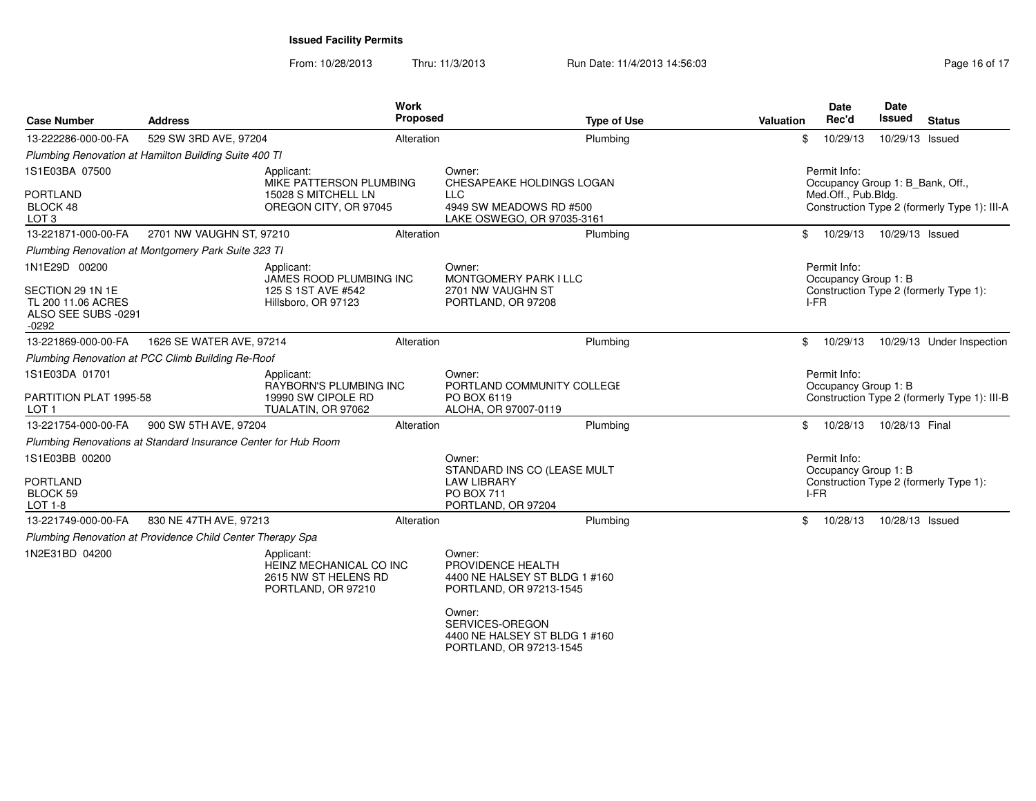| 529 SW 3RD AVE, 97204<br>Plumbing Renovation at Hamilton Building Suite 400 TI<br>Applicant: | Alteration | Plumbing                                                                                                             | \$                                                       |                                                                         |                      |                                                                                                     |
|----------------------------------------------------------------------------------------------|------------|----------------------------------------------------------------------------------------------------------------------|----------------------------------------------------------|-------------------------------------------------------------------------|----------------------|-----------------------------------------------------------------------------------------------------|
|                                                                                              |            |                                                                                                                      |                                                          | 10/29/13                                                                | 10/29/13 Issued      |                                                                                                     |
|                                                                                              |            |                                                                                                                      |                                                          |                                                                         |                      |                                                                                                     |
| MIKE PATTERSON PLUMBING<br>15028 S MITCHELL LN<br>OREGON CITY, OR 97045                      |            | Owner:<br>CHESAPEAKE HOLDINGS LOGAN<br><b>LLC</b><br>4949 SW MEADOWS RD #500<br>LAKE OSWEGO, OR 97035-3161           |                                                          | Permit Info:<br>Occupancy Group 1: B_Bank, Off.,<br>Med.Off., Pub.Bldg. |                      | Construction Type 2 (formerly Type 1): III-A                                                        |
| 2701 NW VAUGHN ST, 97210                                                                     | Alteration | Plumbing                                                                                                             | \$                                                       | 10/29/13                                                                | 10/29/13 Issued      |                                                                                                     |
| Plumbing Renovation at Montgomery Park Suite 323 TI                                          |            |                                                                                                                      |                                                          |                                                                         |                      |                                                                                                     |
| Applicant:<br>JAMES ROOD PLUMBING INC<br>125 S 1ST AVE #542<br>Hillsboro, OR 97123           |            | Owner:<br><b>MONTGOMERY PARK I LLC</b><br>2701 NW VAUGHN ST<br>PORTLAND, OR 97208                                    |                                                          | Permit Info:<br>Occupancy Group 1: B<br>I-FR                            |                      | Construction Type 2 (formerly Type 1):                                                              |
| 1626 SE WATER AVE, 97214                                                                     | Alteration | Plumbing                                                                                                             | \$                                                       | 10/29/13                                                                |                      | 10/29/13 Under Inspection                                                                           |
| Plumbing Renovation at PCC Climb Building Re-Roof                                            |            |                                                                                                                      |                                                          |                                                                         |                      |                                                                                                     |
| Applicant:<br><b>RAYBORN'S PLUMBING INC</b><br>19990 SW CIPOLE RD<br>TUALATIN, OR 97062      |            | Owner:<br>PORTLAND COMMUNITY COLLEGE<br>PO BOX 6119<br>ALOHA, OR 97007-0119                                          |                                                          | Permit Info:<br>Occupancy Group 1: B                                    |                      | Construction Type 2 (formerly Type 1): III-B                                                        |
| 900 SW 5TH AVE, 97204                                                                        | Alteration | Plumbing                                                                                                             | \$                                                       | 10/28/13                                                                |                      |                                                                                                     |
| Plumbing Renovations at Standard Insurance Center for Hub Room                               |            |                                                                                                                      |                                                          |                                                                         |                      |                                                                                                     |
|                                                                                              |            | Owner:<br>STANDARD INS CO (LEASE MULT<br><b>LAW LIBRARY</b><br><b>PO BOX 711</b><br>PORTLAND, OR 97204               |                                                          |                                                                         |                      |                                                                                                     |
| 830 NE 47TH AVE, 97213                                                                       | Alteration | Plumbing                                                                                                             | \$                                                       | 10/28/13                                                                |                      |                                                                                                     |
| Plumbing Renovation at Providence Child Center Therapy Spa                                   |            |                                                                                                                      |                                                          |                                                                         |                      |                                                                                                     |
| Applicant:                                                                                   |            | Owner:<br>PROVIDENCE HEALTH<br>4400 NE HALSEY ST BLDG 1 #160<br>PORTLAND, OR 97213-1545<br>Owner:<br>SERVICES-OREGON |                                                          |                                                                         |                      |                                                                                                     |
|                                                                                              |            | HEINZ MECHANICAL CO INC<br>2615 NW ST HELENS RD<br>PORTLAND, OR 97210                                                | 4400 NE HALSEY ST BLDG 1 #160<br>PORTLAND, OR 97213-1545 |                                                                         | Permit Info:<br>I-FR | 10/28/13 Final<br>Occupancy Group 1: B<br>Construction Type 2 (formerly Type 1):<br>10/28/13 Issued |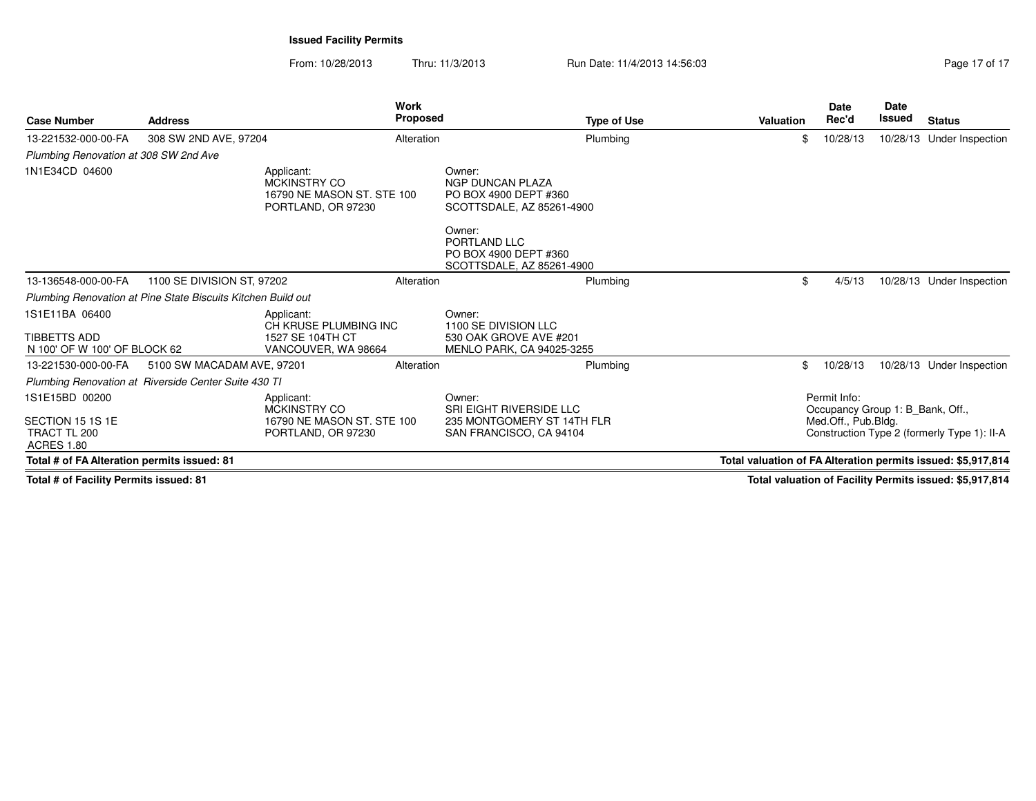From: 10/28/2013Thru: 11/3/2013 **Run Date: 11/4/2013 14:56:03** Pag

| Page 17 of 17 |  |  |
|---------------|--|--|
|               |  |  |

| <b>Case Number</b>                                                                        | <b>Address</b>                                               | <b>Work</b><br><b>Proposed</b>                                                 |                                                                                                                                                                       | <b>Type of Use</b> | Valuation                                                    | <b>Date</b><br>Rec'd | <b>Date</b><br><b>Issued</b>                | <b>Status</b>                                            |
|-------------------------------------------------------------------------------------------|--------------------------------------------------------------|--------------------------------------------------------------------------------|-----------------------------------------------------------------------------------------------------------------------------------------------------------------------|--------------------|--------------------------------------------------------------|----------------------|---------------------------------------------|----------------------------------------------------------|
| 13-221532-000-00-FA                                                                       | 308 SW 2ND AVE, 97204                                        | Alteration                                                                     |                                                                                                                                                                       | Plumbing           | \$                                                           | 10/28/13             |                                             | 10/28/13 Under Inspection                                |
| Plumbing Renovation at 308 SW 2nd Ave                                                     |                                                              |                                                                                |                                                                                                                                                                       |                    |                                                              |                      |                                             |                                                          |
| 1N1E34CD 04600                                                                            |                                                              | Applicant:<br>MCKINSTRY CO<br>16790 NE MASON ST. STE 100<br>PORTLAND, OR 97230 | Owner:<br><b>NGP DUNCAN PLAZA</b><br>PO BOX 4900 DEPT #360<br>SCOTTSDALE, AZ 85261-4900<br>Owner:<br>PORTLAND LLC<br>PO BOX 4900 DEPT #360                            |                    |                                                              |                      |                                             |                                                          |
|                                                                                           |                                                              |                                                                                | SCOTTSDALE, AZ 85261-4900                                                                                                                                             |                    |                                                              |                      |                                             |                                                          |
| 13-136548-000-00-FA                                                                       | 1100 SE DIVISION ST, 97202                                   | Alteration                                                                     |                                                                                                                                                                       | Plumbing           | \$                                                           | 4/5/13               |                                             | 10/28/13 Under Inspection                                |
|                                                                                           | Plumbing Renovation at Pine State Biscuits Kitchen Build out |                                                                                |                                                                                                                                                                       |                    |                                                              |                      |                                             |                                                          |
| 1S1E11BA 06400<br>TIBBETTS ADD<br>N 100' OF W 100' OF BLOCK 62                            |                                                              | Applicant:<br>CH KRUSE PLUMBING INC<br>1527 SE 104TH CT<br>VANCOUVER, WA 98664 | Owner:<br>1100 SE DIVISION LLC<br>530 OAK GROVE AVE #201<br><b>MENLO PARK, CA 94025-3255</b>                                                                          |                    |                                                              |                      |                                             |                                                          |
| 13-221530-000-00-FA                                                                       | 5100 SW MACADAM AVE, 97201                                   | Alteration                                                                     |                                                                                                                                                                       | Plumbing           |                                                              | 10/28/13             |                                             | 10/28/13 Under Inspection                                |
|                                                                                           | Plumbing Renovation at Riverside Center Suite 430 TI         |                                                                                |                                                                                                                                                                       |                    |                                                              |                      |                                             |                                                          |
| 1S1E15BD 00200<br>SECTION 15 1S 1E<br>TRACT TL 200<br><b>ACRES 1.80</b>                   |                                                              | Applicant:<br>MCKINSTRY CO<br>16790 NE MASON ST. STE 100<br>PORTLAND, OR 97230 | Permit Info:<br>Owner:<br>SRI EIGHT RIVERSIDE LLC<br>Occupancy Group 1: B_Bank, Off.,<br>235 MONTGOMERY ST 14TH FLR<br>Med.Off., Pub.Bldg.<br>SAN FRANCISCO, CA 94104 |                    |                                                              |                      | Construction Type 2 (formerly Type 1): II-A |                                                          |
| Total # of FA Alteration permits issued: 81                                               |                                                              |                                                                                |                                                                                                                                                                       |                    | Total valuation of FA Alteration permits issued: \$5,917,814 |                      |                                             |                                                          |
| $T_{\text{total}}$ $\mu$ of $T_{\text{total}}$ $\mu$ , $D_{\text{current}}$ is isomed. Of |                                                              |                                                                                |                                                                                                                                                                       |                    |                                                              |                      |                                             | Total valuation of Facility Domaits incurred, AE 047.044 |

**Total # of Facility Permits issued: 81**

**Total valuation of Facility Permits issued: \$5,917,814**